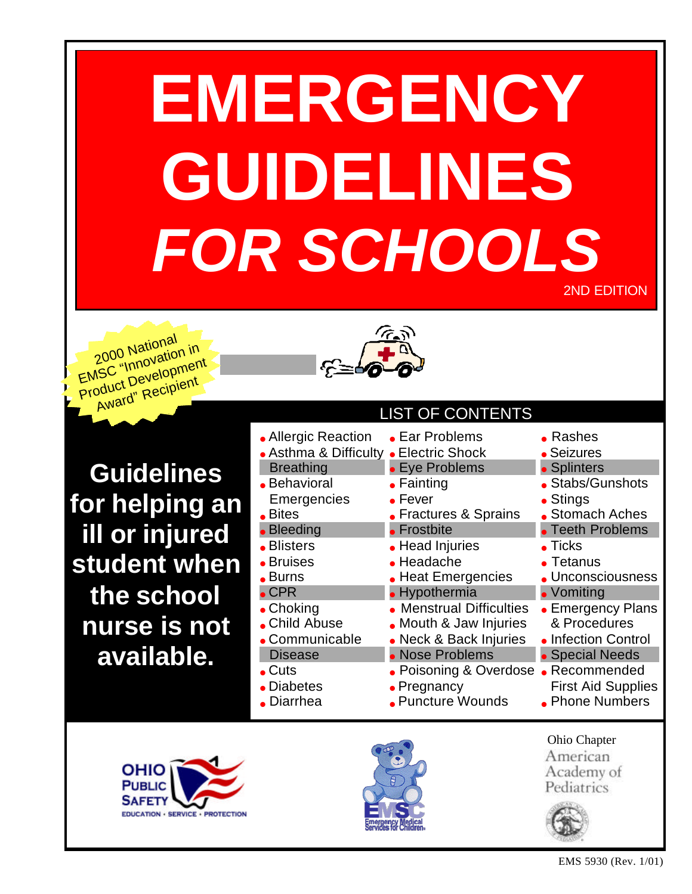# **EMERGENCY GUIDELINES**   *FOR SCHOOLS*



2000 National EMSC "Innovation in Product Development Award" Recipient



**Guidelines for helping an ill or injured student when the school nurse is not available.**

| <b>LIST OF CONTENTS</b>                                                                                                                                                                                        |                                                                                                                                                                                                      |                                                                                                                                                                                         |  |  |
|----------------------------------------------------------------------------------------------------------------------------------------------------------------------------------------------------------------|------------------------------------------------------------------------------------------------------------------------------------------------------------------------------------------------------|-----------------------------------------------------------------------------------------------------------------------------------------------------------------------------------------|--|--|
| • Allergic Reaction • Ear Problems<br>• Asthma & Difficulty • Electric Shock<br><b>Breathing</b><br>• Behavioral<br>Emergencies<br>$\bullet$ Bites<br>• Bleeding<br>• Blisters<br>• Bruises<br>$\bullet$ Burns | • Eye Problems<br>$\bullet$ Fainting<br>$\bullet$ Fever<br>• Fractures & Sprains<br>$\bullet$ Frostbite<br>• Head Injuries<br>• Headache<br>• Heat Emergencies                                       | $\bullet$ Rashes<br>• Seizures<br>• Splinters<br>• Stabs/Gunshots<br>• Stings<br>• Stomach Aches<br>• Teeth Problems<br>$\bullet$ Ticks<br>$\bullet$ Tetanus<br><b>J</b> nconsciousness |  |  |
| $\bullet$ CPR<br>$\bullet$ Choking<br>• Child Abuse<br>• Communicable<br><b>Disease</b><br>$\bullet$ Cuts<br>• Diabetes<br>$\bullet$ Diarrhea                                                                  | • Hypothermia<br>• Menstrual Difficulties<br>• Mouth & Jaw Injuries<br>• Neck & Back Injuries<br>• Nose Problems<br>• Poisoning & Overdose • Recommended<br>$\bullet$ Pregnancy<br>• Puncture Wounds | • Vomiting<br>• Emergency Plans<br>& Procedures<br>• Infection Control<br>• Special Needs<br><b>First Aid Supplies</b><br>• Phone Numbers                                               |  |  |





Ohio Chapter American Academy of Pediatrics

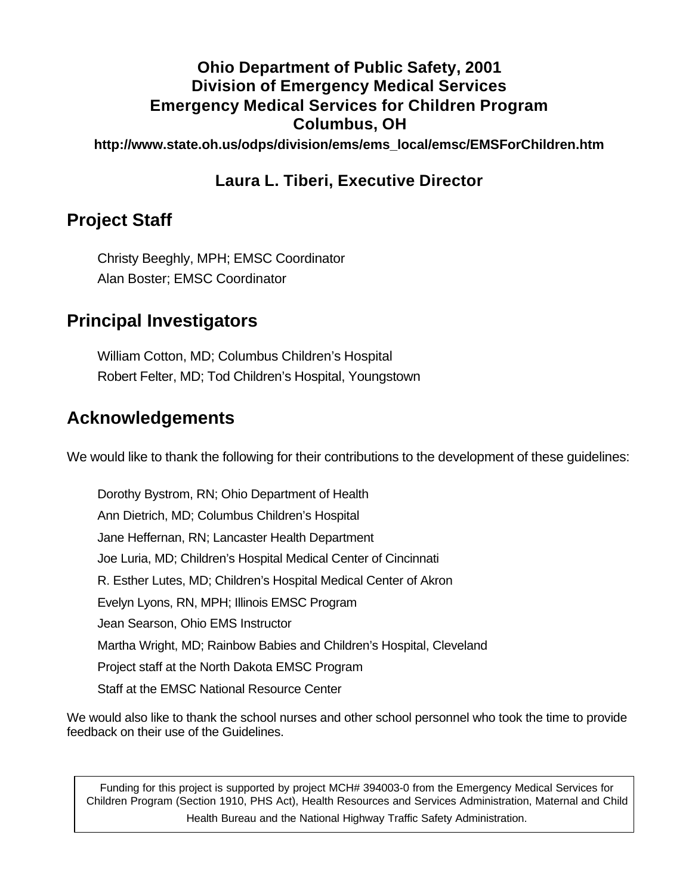### **Ohio Department of Public Safety, 2001 Division of Emergency Medical Services Emergency Medical Services for Children Program Columbus, OH**

**http://www.state.oh.us/odps/division/ems/ems\_local/emsc/EMSForChildren.htm**

### **Laura L. Tiberi, Executive Director**

### **Project Staff**

Christy Beeghly, MPH; EMSC Coordinator Alan Boster; EMSC Coordinator

### **Principal Investigators**

William Cotton, MD; Columbus Children's Hospital Robert Felter, MD; Tod Children's Hospital, Youngstown

### **Acknowledgements**

We would like to thank the following for their contributions to the development of these guidelines:

Dorothy Bystrom, RN; Ohio Department of Health Ann Dietrich, MD; Columbus Children's Hospital Jane Heffernan, RN; Lancaster Health Department Joe Luria, MD; Children's Hospital Medical Center of Cincinnati R. Esther Lutes, MD; Children's Hospital Medical Center of Akron Evelyn Lyons, RN, MPH; Illinois EMSC Program Jean Searson, Ohio EMS Instructor Martha Wright, MD; Rainbow Babies and Children's Hospital, Cleveland Project staff at the North Dakota EMSC Program Staff at the EMSC National Resource Center

We would also like to thank the school nurses and other school personnel who took the time to provide feedback on their use of the Guidelines.

Funding for this project is supported by project MCH# 394003-0 from the Emergency Medical Services for Children Program (Section 1910, PHS Act), Health Resources and Services Administration, Maternal and Child Health Bureau and the National Highway Traffic Safety Administration.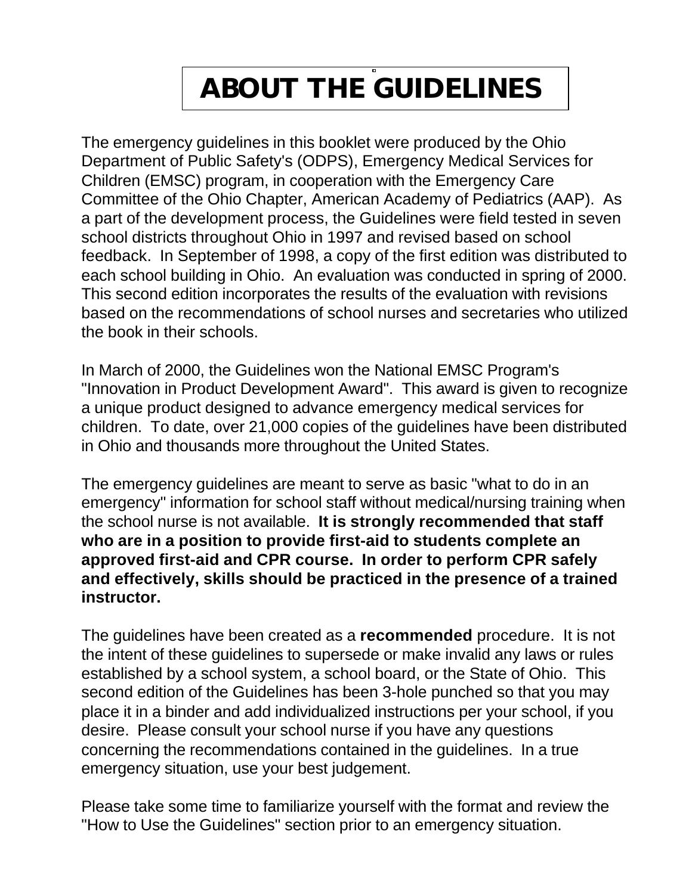# **ABOUT THE GUIDELINES**

The emergency guidelines in this booklet were produced by the Ohio Department of Public Safety's (ODPS), Emergency Medical Services for Children (EMSC) program, in cooperation with the Emergency Care Committee of the Ohio Chapter, American Academy of Pediatrics (AAP). As a part of the development process, the Guidelines were field tested in seven school districts throughout Ohio in 1997 and revised based on school feedback. In September of 1998, a copy of the first edition was distributed to each school building in Ohio. An evaluation was conducted in spring of 2000. This second edition incorporates the results of the evaluation with revisions based on the recommendations of school nurses and secretaries who utilized the book in their schools.

In March of 2000, the Guidelines won the National EMSC Program's "Innovation in Product Development Award". This award is given to recognize a unique product designed to advance emergency medical services for children. To date, over 21,000 copies of the guidelines have been distributed in Ohio and thousands more throughout the United States.

The emergency guidelines are meant to serve as basic "what to do in an emergency" information for school staff without medical/nursing training when the school nurse is not available. **It is strongly recommended that staff who are in a position to provide first-aid to students complete an approved first-aid and CPR course. In order to perform CPR safely and effectively, skills should be practiced in the presence of a trained instructor.**

The guidelines have been created as a **recommended** procedure. It is not the intent of these guidelines to supersede or make invalid any laws or rules established by a school system, a school board, or the State of Ohio. This second edition of the Guidelines has been 3-hole punched so that you may place it in a binder and add individualized instructions per your school, if you desire. Please consult your school nurse if you have any questions concerning the recommendations contained in the guidelines. In a true emergency situation, use your best judgement.

Please take some time to familiarize yourself with the format and review the "How to Use the Guidelines" section prior to an emergency situation.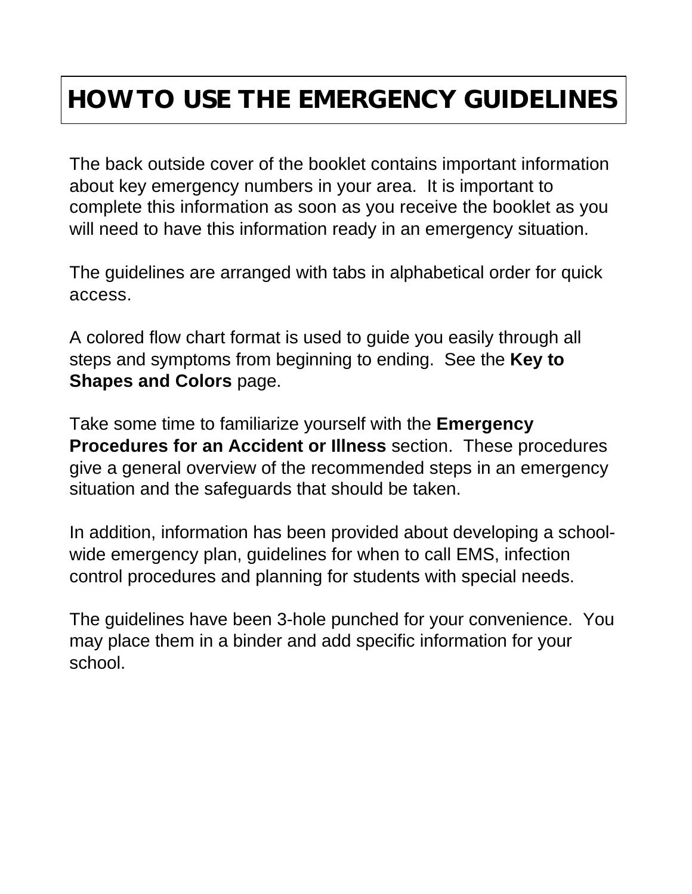### **HOW TO USE THE EMERGENCY GUIDELINES**

The back outside cover of the booklet contains important information about key emergency numbers in your area. It is important to complete this information as soon as you receive the booklet as you will need to have this information ready in an emergency situation.

The guidelines are arranged with tabs in alphabetical order for quick access.

A colored flow chart format is used to guide you easily through all steps and symptoms from beginning to ending. See the **Key to Shapes and Colors** page.

Take some time to familiarize yourself with the **Emergency Procedures for an Accident or Illness** section. These procedures give a general overview of the recommended steps in an emergency situation and the safeguards that should be taken.

In addition, information has been provided about developing a schoolwide emergency plan, guidelines for when to call EMS, infection control procedures and planning for students with special needs.

The guidelines have been 3-hole punched for your convenience. You may place them in a binder and add specific information for your school.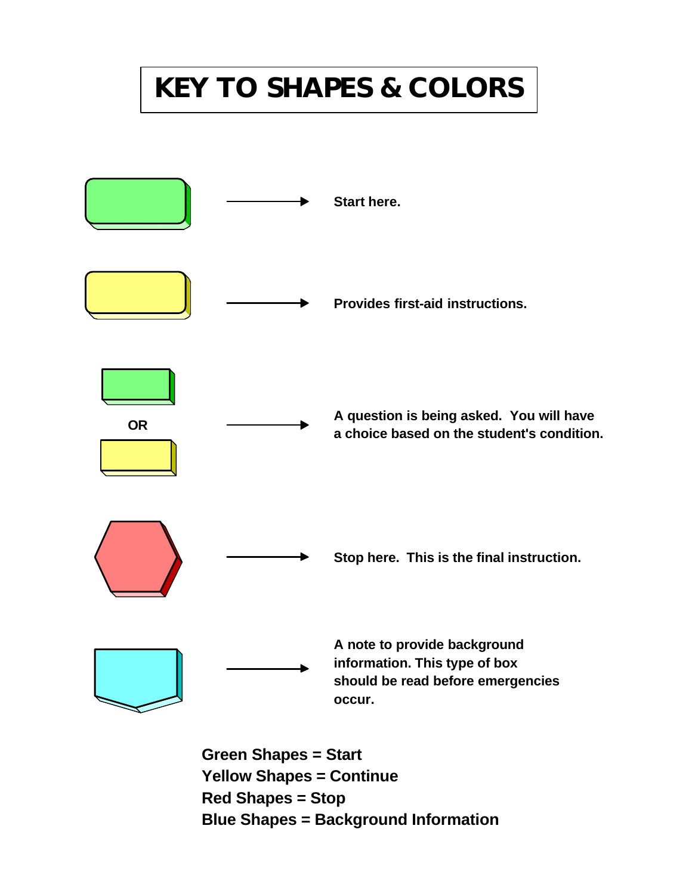# **KEY TO SHAPES & COLORS**



**Green Shapes = Start Yellow Shapes = Continue Red Shapes = Stop Blue Shapes = Background Information**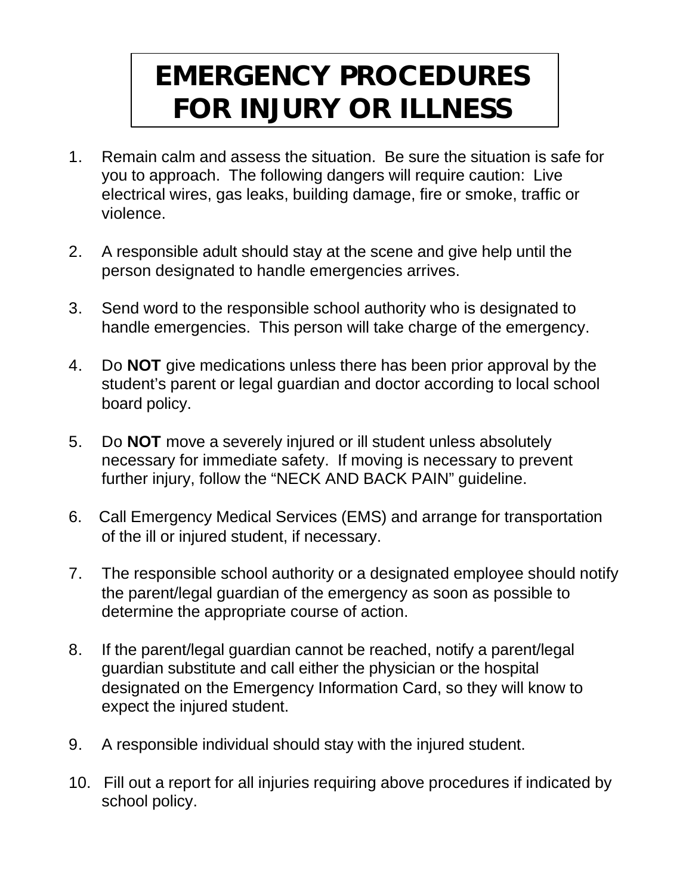# **EMERGENCY PROCEDURES FOR INJURY OR ILLNESS**

- 1. Remain calm and assess the situation. Be sure the situation is safe for you to approach. The following dangers will require caution: Live electrical wires, gas leaks, building damage, fire or smoke, traffic or violence.
- 2. A responsible adult should stay at the scene and give help until the person designated to handle emergencies arrives.
- 3. Send word to the responsible school authority who is designated to handle emergencies. This person will take charge of the emergency.
- 4. Do **NOT** give medications unless there has been prior approval by the student's parent or legal guardian and doctor according to local school board policy.
- 5. Do **NOT** move a severely injured or ill student unless absolutely necessary for immediate safety. If moving is necessary to prevent further injury, follow the "NECK AND BACK PAIN" guideline.
- 6. Call Emergency Medical Services (EMS) and arrange for transportation of the ill or injured student, if necessary.
- 7. The responsible school authority or a designated employee should notify the parent/legal guardian of the emergency as soon as possible to determine the appropriate course of action.
- 8. If the parent/legal guardian cannot be reached, notify a parent/legal guardian substitute and call either the physician or the hospital designated on the Emergency Information Card, so they will know to expect the injured student.
- 9. A responsible individual should stay with the injured student.
- 10. Fill out a report for all injuries requiring above procedures if indicated by school policy.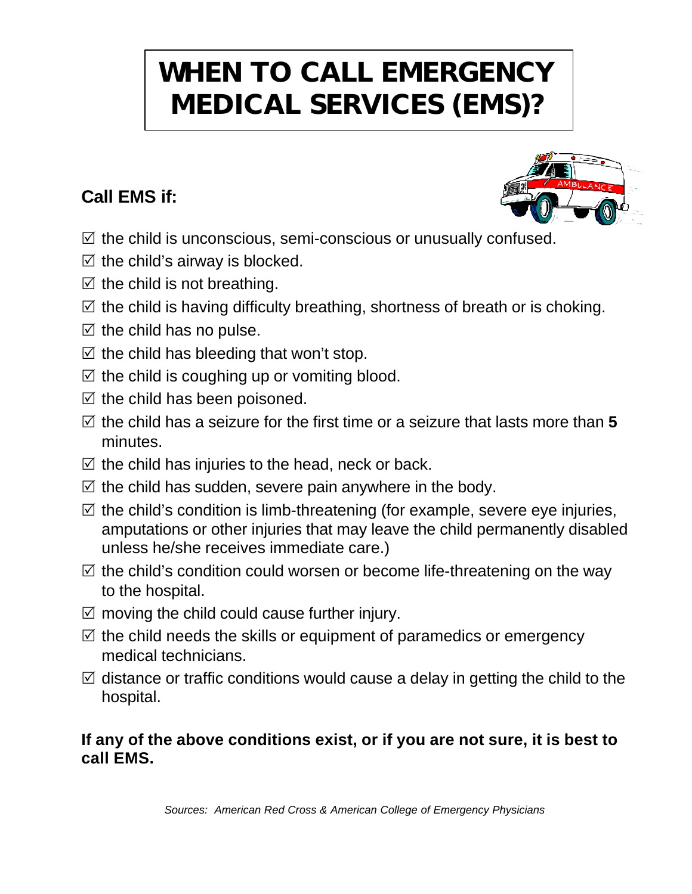# **WHEN TO CALL EMERGENCY MEDICAL SERVICES (EMS)?**

### **Call EMS if:**

- $\mathbb Z$  the child is unconscious, semi-conscious or unusually confused.
- $\boxtimes$  the child's airway is blocked.
- $\boxtimes$  the child is not breathing.
- $\mathbb Z$  the child is having difficulty breathing, shortness of breath or is choking.
- $\boxtimes$  the child has no pulse.
- $\boxtimes$  the child has bleeding that won't stop.
- $\boxtimes$  the child is coughing up or vomiting blood.
- $\boxtimes$  the child has been poisoned.
- $\boxtimes$  the child has a seizure for the first time or a seizure that lasts more than 5 minutes.
- $\boxtimes$  the child has injuries to the head, neck or back.
- $\boxtimes$  the child has sudden, severe pain anywhere in the body.
- $\boxtimes$  the child's condition is limb-threatening (for example, severe eye injuries, amputations or other injuries that may leave the child permanently disabled unless he/she receives immediate care.)
- $\boxtimes$  the child's condition could worsen or become life-threatening on the way to the hospital.
- $\boxtimes$  moving the child could cause further injury.
- $\boxtimes$  the child needs the skills or equipment of paramedics or emergency medical technicians.
- $\boxtimes$  distance or traffic conditions would cause a delay in getting the child to the hospital.

### **If any of the above conditions exist, or if you are not sure, it is best to call EMS.**

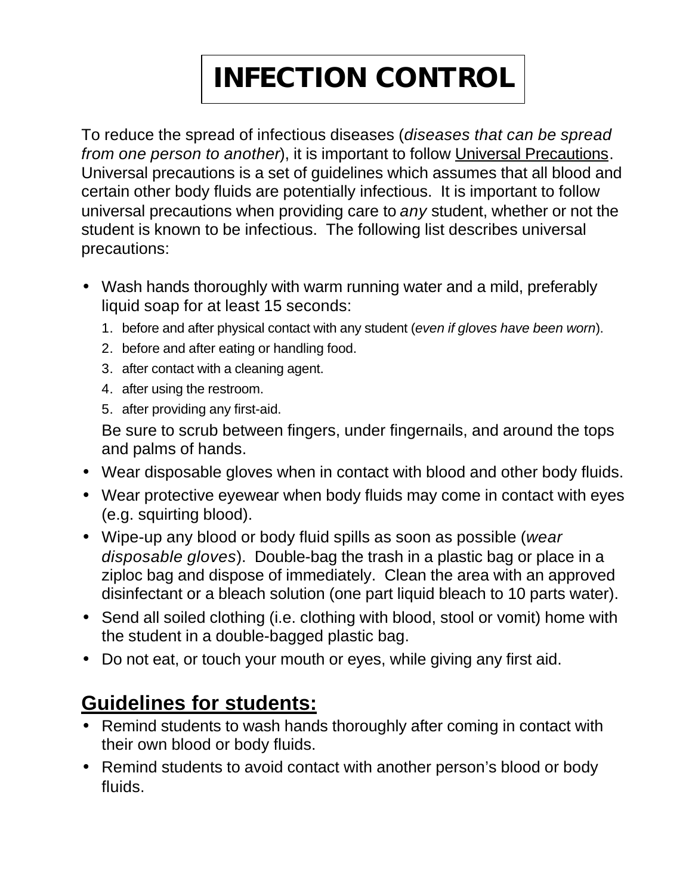# **INFECTION CONTROL**

To reduce the spread of infectious diseases (*diseases that can be spread from one person to another*), it is important to follow Universal Precautions. Universal precautions is a set of guidelines which assumes that all blood and certain other body fluids are potentially infectious. It is important to follow universal precautions when providing care to *any* student, whether or not the student is known to be infectious. The following list describes universal precautions:

- Wash hands thoroughly with warm running water and a mild, preferably liquid soap for at least 15 seconds:
	- 1. before and after physical contact with any student (*even if gloves have been worn*).
	- 2. before and after eating or handling food.
	- 3. after contact with a cleaning agent.
	- 4. after using the restroom.
	- 5. after providing any first-aid.

Be sure to scrub between fingers, under fingernails, and around the tops and palms of hands.

- Wear disposable gloves when in contact with blood and other body fluids.
- Wear protective eyewear when body fluids may come in contact with eyes (e.g. squirting blood).
- Wipe-up any blood or body fluid spills as soon as possible (*wear disposable gloves*). Double-bag the trash in a plastic bag or place in a ziploc bag and dispose of immediately. Clean the area with an approved disinfectant or a bleach solution (one part liquid bleach to 10 parts water).
- Send all soiled clothing (i.e. clothing with blood, stool or vomit) home with the student in a double-bagged plastic bag.
- Do not eat, or touch your mouth or eyes, while giving any first aid.

### **Guidelines for students:**

- Remind students to wash hands thoroughly after coming in contact with their own blood or body fluids.
- Remind students to avoid contact with another person's blood or body fluids.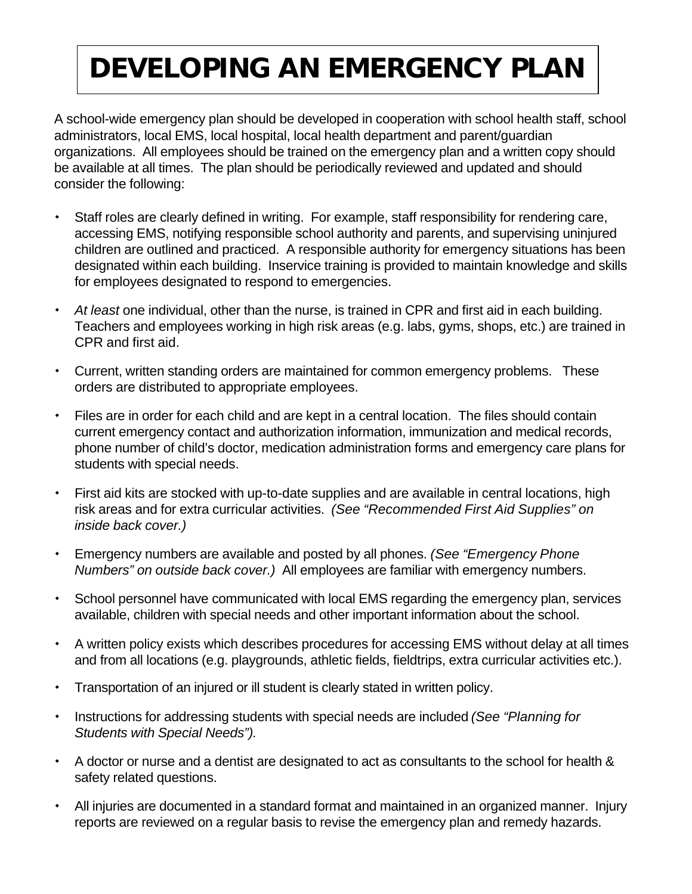# **DEVELOPING AN EMERGENCY PLAN**

A school-wide emergency plan should be developed in cooperation with school health staff, school administrators, local EMS, local hospital, local health department and parent/guardian organizations. All employees should be trained on the emergency plan and a written copy should be available at all times. The plan should be periodically reviewed and updated and should consider the following:

- Staff roles are clearly defined in writing. For example, staff responsibility for rendering care, accessing EMS, notifying responsible school authority and parents, and supervising uninjured children are outlined and practiced. A responsible authority for emergency situations has been designated within each building. Inservice training is provided to maintain knowledge and skills for employees designated to respond to emergencies.
- *At least* one individual, other than the nurse, is trained in CPR and first aid in each building. Teachers and employees working in high risk areas (e.g. labs, gyms, shops, etc.) are trained in CPR and first aid.
- Current, written standing orders are maintained for common emergency problems. These orders are distributed to appropriate employees.
- Files are in order for each child and are kept in a central location. The files should contain current emergency contact and authorization information, immunization and medical records, phone number of child's doctor, medication administration forms and emergency care plans for students with special needs.
- First aid kits are stocked with up-to-date supplies and are available in central locations, high risk areas and for extra curricular activities. *(See "Recommended First Aid Supplies" on inside back cover.)*
- Emergency numbers are available and posted by all phones. *(See "Emergency Phone Numbers" on outside back cover.)* All employees are familiar with emergency numbers.
- School personnel have communicated with local EMS regarding the emergency plan, services available, children with special needs and other important information about the school.
- A written policy exists which describes procedures for accessing EMS without delay at all times and from all locations (e.g. playgrounds, athletic fields, fieldtrips, extra curricular activities etc.).
- Transportation of an injured or ill student is clearly stated in written policy.
- Instructions for addressing students with special needs are included *(See "Planning for Students with Special Needs").*
- A doctor or nurse and a dentist are designated to act as consultants to the school for health & safety related questions.
- All injuries are documented in a standard format and maintained in an organized manner. Injury reports are reviewed on a regular basis to revise the emergency plan and remedy hazards.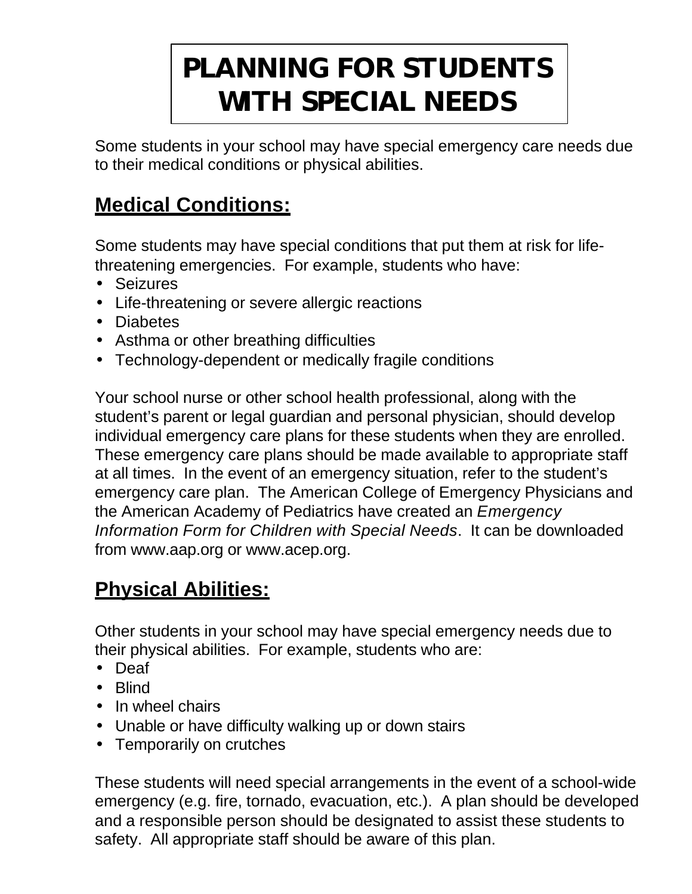# **PLANNING FOR STUDENTS WITH SPECIAL NEEDS**

Some students in your school may have special emergency care needs due to their medical conditions or physical abilities.

### **Medical Conditions:**

Some students may have special conditions that put them at risk for lifethreatening emergencies. For example, students who have:

- Seizures
- Life-threatening or severe allergic reactions
- Diabetes
- Asthma or other breathing difficulties
- Technology-dependent or medically fragile conditions

Your school nurse or other school health professional, along with the student's parent or legal guardian and personal physician, should develop individual emergency care plans for these students when they are enrolled. These emergency care plans should be made available to appropriate staff at all times. In the event of an emergency situation, refer to the student's emergency care plan. The American College of Emergency Physicians and the American Academy of Pediatrics have created an *Emergency Information Form for Children with Special Needs*. It can be downloaded from www.aap.org or www.acep.org.

### **Physical Abilities:**

Other students in your school may have special emergency needs due to their physical abilities. For example, students who are:

- Deaf
- Blind
- In wheel chairs
- Unable or have difficulty walking up or down stairs
- Temporarily on crutches

These students will need special arrangements in the event of a school-wide emergency (e.g. fire, tornado, evacuation, etc.). A plan should be developed and a responsible person should be designated to assist these students to safety. All appropriate staff should be aware of this plan.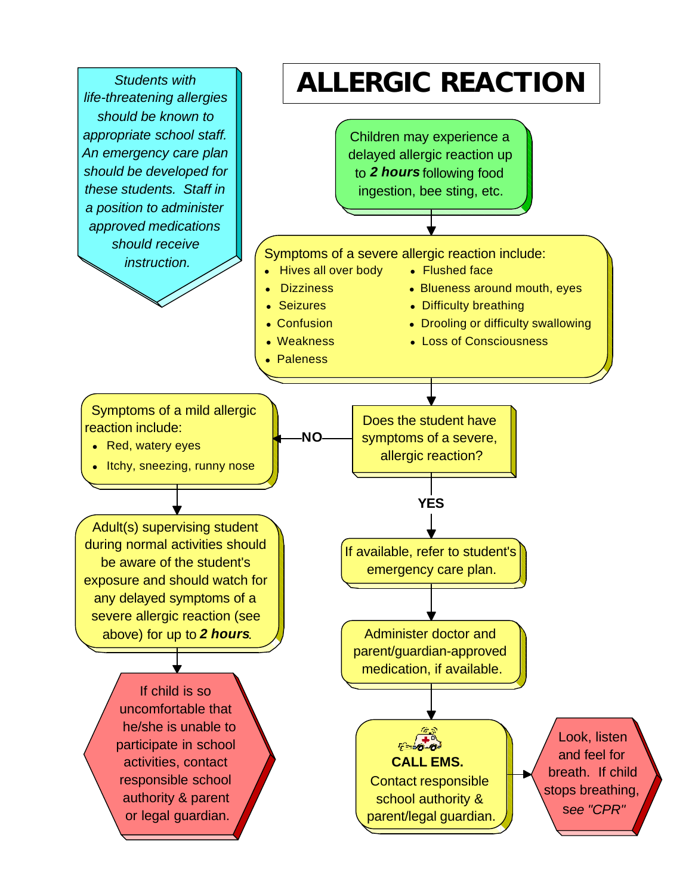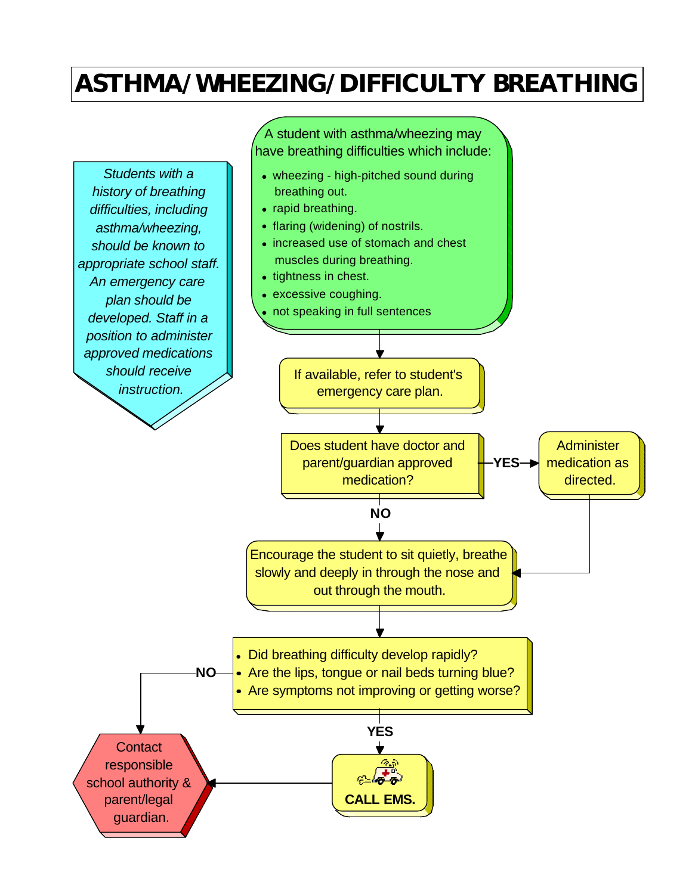### **ASTHMA/WHEEZING/DIFFICULTY BREATHING**

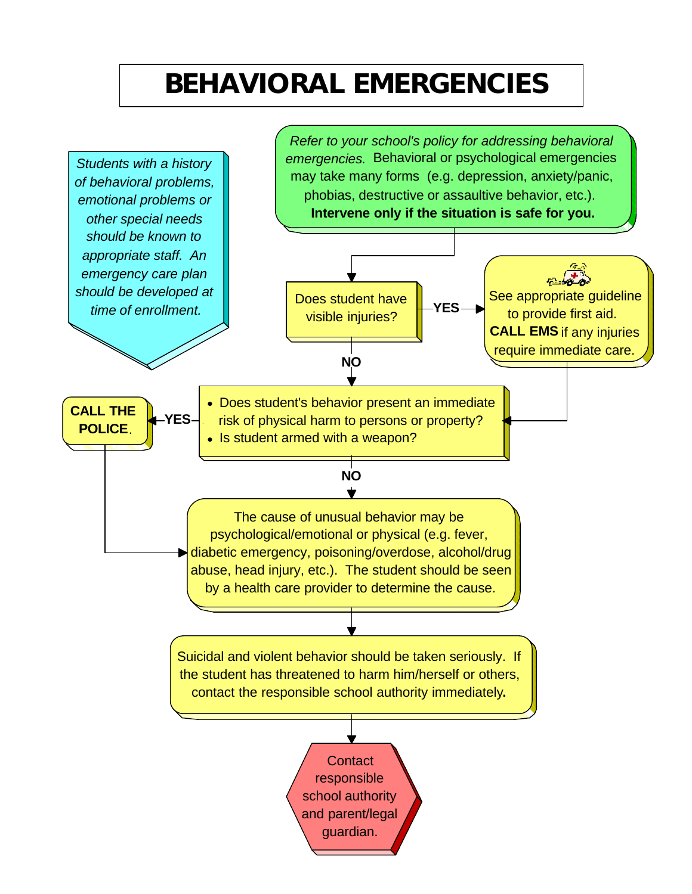# **BEHAVIORAL EMERGENCIES**

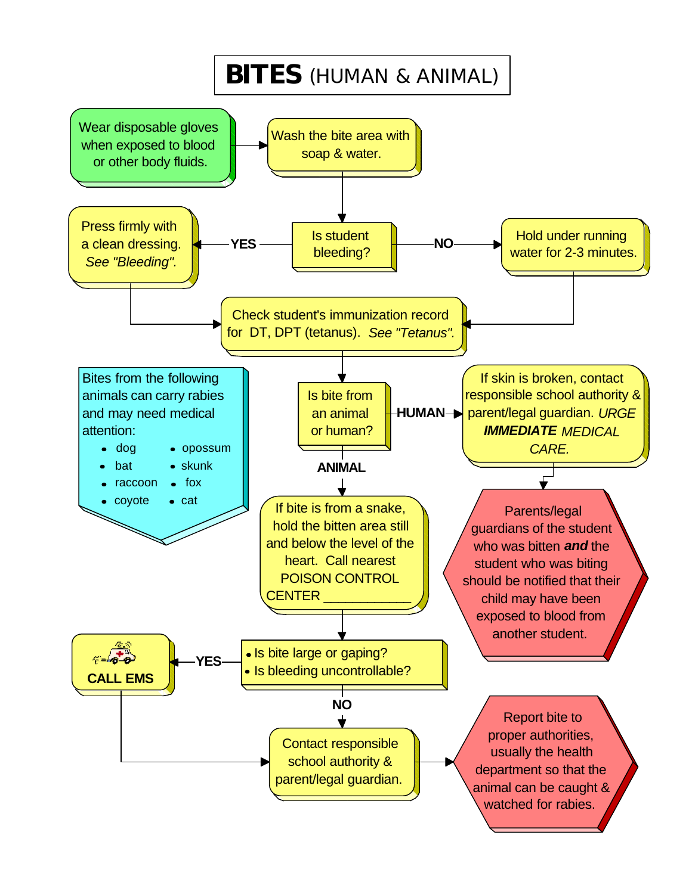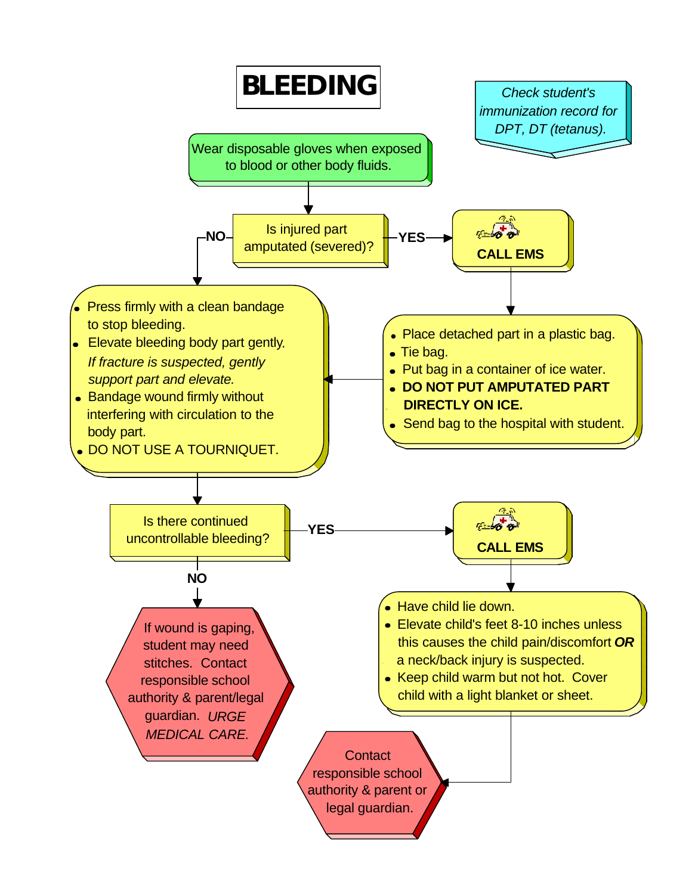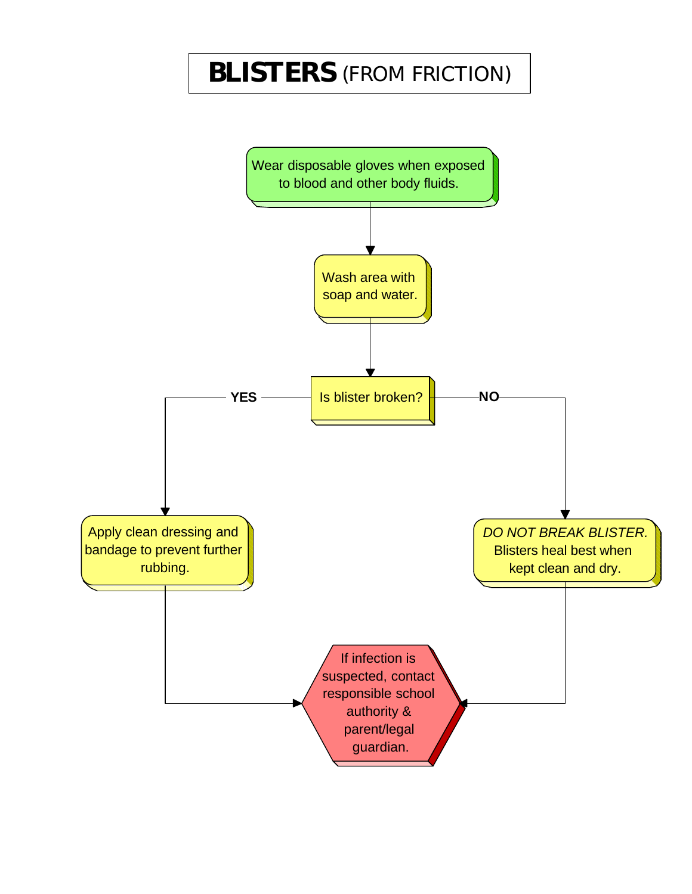### **BLISTERS** (FROM FRICTION)

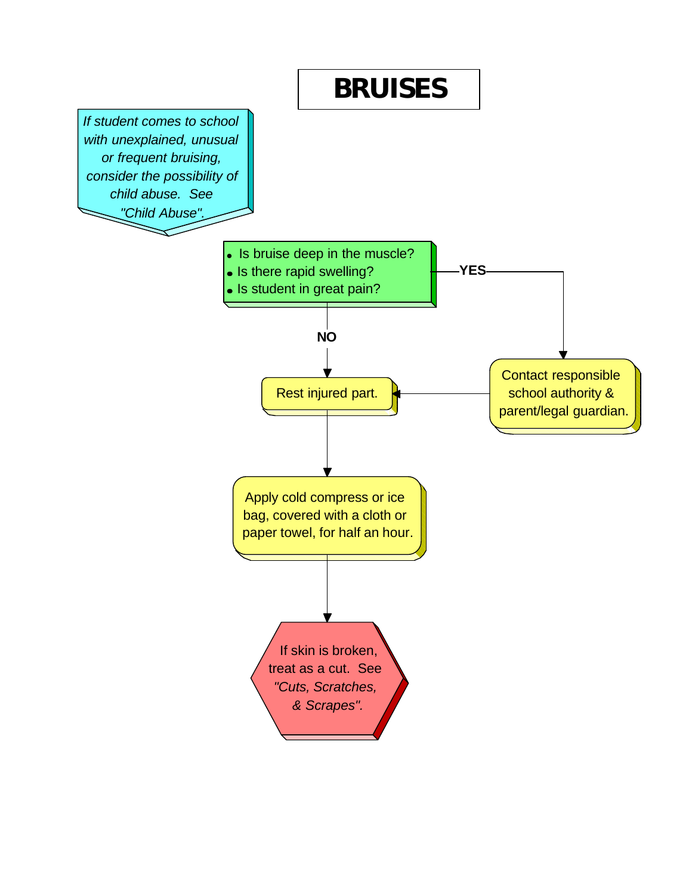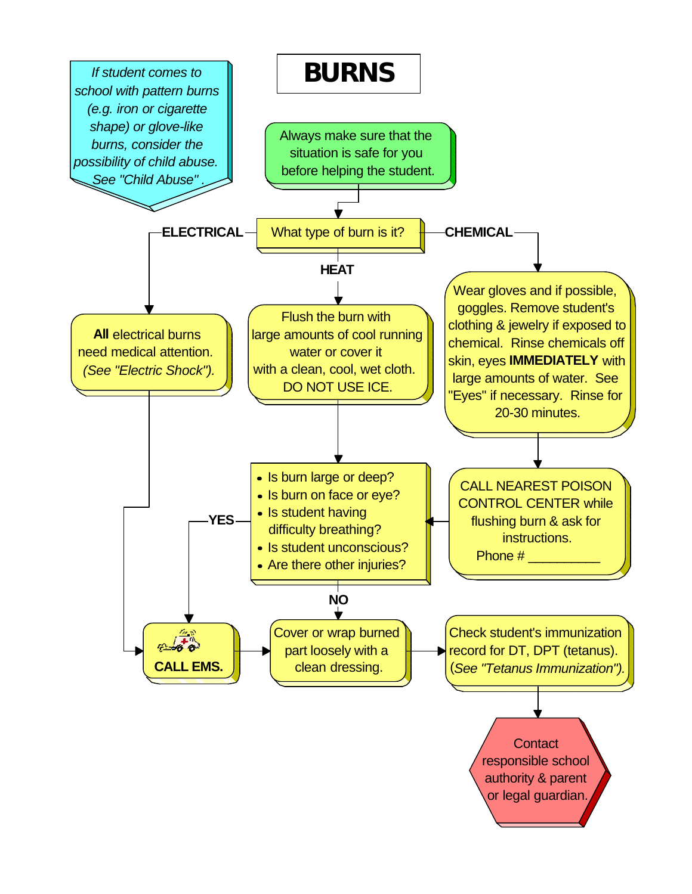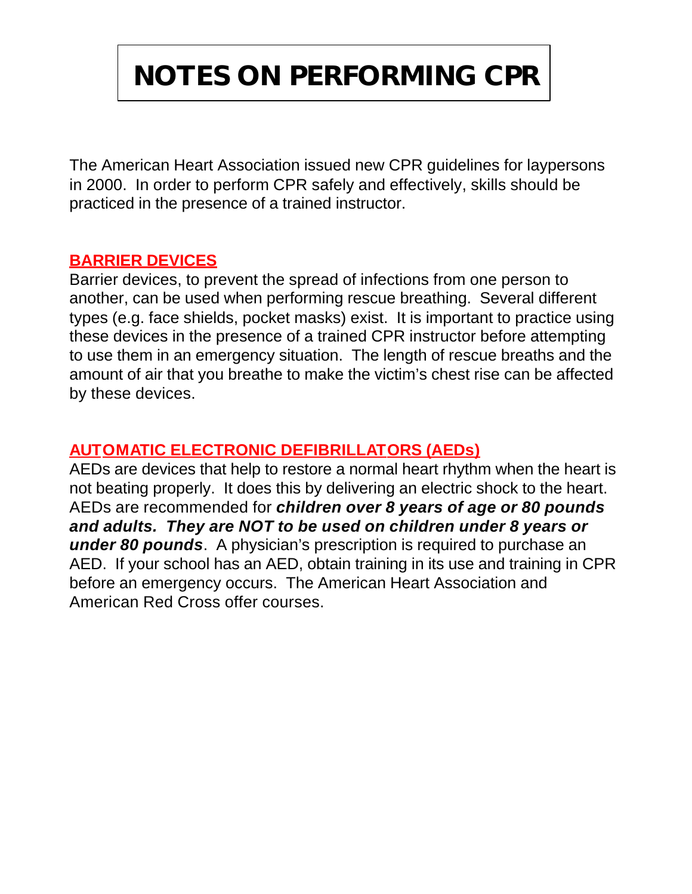# **NOTES ON PERFORMING CPR**

The American Heart Association issued new CPR guidelines for laypersons in 2000. In order to perform CPR safely and effectively, skills should be practiced in the presence of a trained instructor.

### **BARRIER DEVICES**

Barrier devices, to prevent the spread of infections from one person to another, can be used when performing rescue breathing. Several different types (e.g. face shields, pocket masks) exist. It is important to practice using these devices in the presence of a trained CPR instructor before attempting to use them in an emergency situation. The length of rescue breaths and the amount of air that you breathe to make the victim's chest rise can be affected by these devices.

### **AUTOMATIC ELECTRONIC DEFIBRILLATORS (AEDs)**

AEDs are devices that help to restore a normal heart rhythm when the heart is not beating properly. It does this by delivering an electric shock to the heart. AEDs are recommended for *children over 8 years of age or 80 pounds and adults. They are NOT to be used on children under 8 years or under 80 pounds*. A physician's prescription is required to purchase an AED. If your school has an AED, obtain training in its use and training in CPR before an emergency occurs. The American Heart Association and American Red Cross offer courses.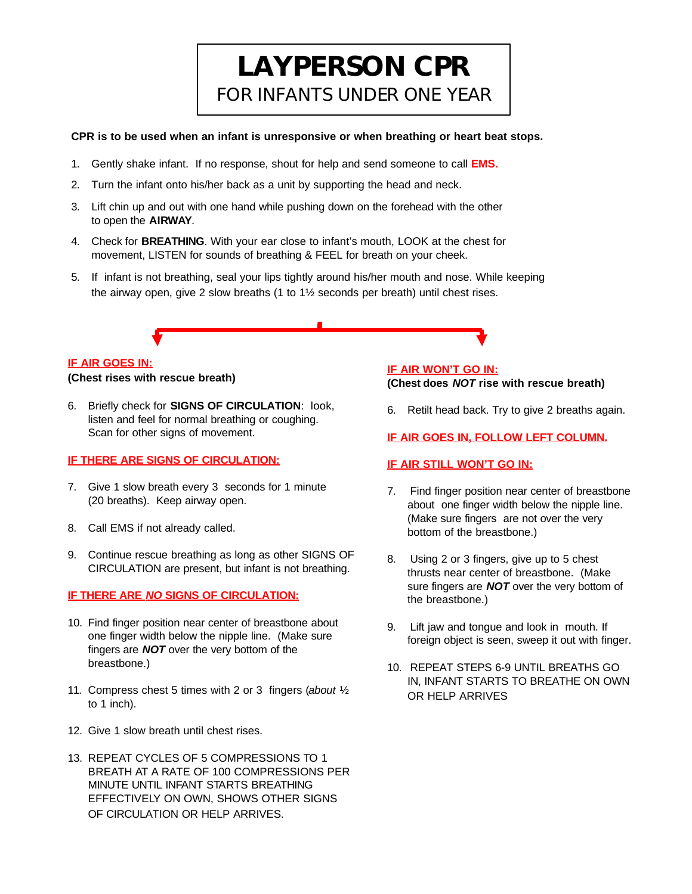### **LAYPERSON CPR** FOR INFANTS UNDER ONE YEAR

#### **CPR is to be used when an infant is unresponsive or when breathing or heart beat stops.**

- 1. Gently shake infant. If no response, shout for help and send someone to call **EMS.**
- 2. Turn the infant onto his/her back as a unit by supporting the head and neck.
- 3. Lift chin up and out with one hand while pushing down on the forehead with the other to open the **AIRWAY**.
- 4. Check for **BREATHING**. With your ear close to infant's mouth, LOOK at the chest for movement, LISTEN for sounds of breathing & FEEL for breath on your cheek.
- 5. If infant is not breathing, seal your lips tightly around his/her mouth and nose. While keeping the airway open, give 2 slow breaths (1 to  $1\frac{1}{2}$  seconds per breath) until chest rises.

#### **IF AIR GOES IN:**

**(Chest rises with rescue breath)**

6. Briefly check for **SIGNS OF CIRCULATION**: look, listen and feel for normal breathing or coughing. Scan for other signs of movement.

#### **IF THERE ARE SIGNS OF CIRCULATION:**

- 7. Give 1 slow breath every 3 seconds for 1 minute (20 breaths). Keep airway open.
- 8. Call EMS if not already called.
- 9. Continue rescue breathing as long as other SIGNS OF CIRCULATION are present, but infant is not breathing.

#### **IF THERE ARE** *NO* **SIGNS OF CIRCULATION:**

- 10. Find finger position near center of breastbone about one finger width below the nipple line. (Make sure fingers are *NOT* over the very bottom of the breastbone.)
- 11. Compress chest 5 times with 2 or 3 fingers (*about* ½ to 1 inch).
- 12. Give 1 slow breath until chest rises.
- 13. REPEAT CYCLES OF 5 COMPRESSIONS TO 1 BREATH AT A RATE OF 100 COMPRESSIONS PER MINUTE UNTIL INFANT STARTS BREATHING EFFECTIVELY ON OWN, SHOWS OTHER SIGNS OF CIRCULATION OR HELP ARRIVES.

#### **IF AIR WON'T GO IN:**

**(Chest does** *NOT* **rise with rescue breath)**

6. Retilt head back. Try to give 2 breaths again.

#### **IF AIR GOES IN, FOLLOW LEFT COLUMN.**

#### **IF AIR STILL WON'T GO IN:**

- 7. Find finger position near center of breastbone about one finger width below the nipple line. (Make sure fingers are not over the very bottom of the breastbone.)
- 8. Using 2 or 3 fingers, give up to 5 chest thrusts near center of breastbone. (Make sure fingers are *NOT* over the very bottom of the breastbone.)
- 9. Lift jaw and tongue and look in mouth. If foreign object is seen, sweep it out with finger.
- 10. REPEAT STEPS 6-9 UNTIL BREATHS GO IN, INFANT STARTS TO BREATHE ON OWN OR HELP ARRIVES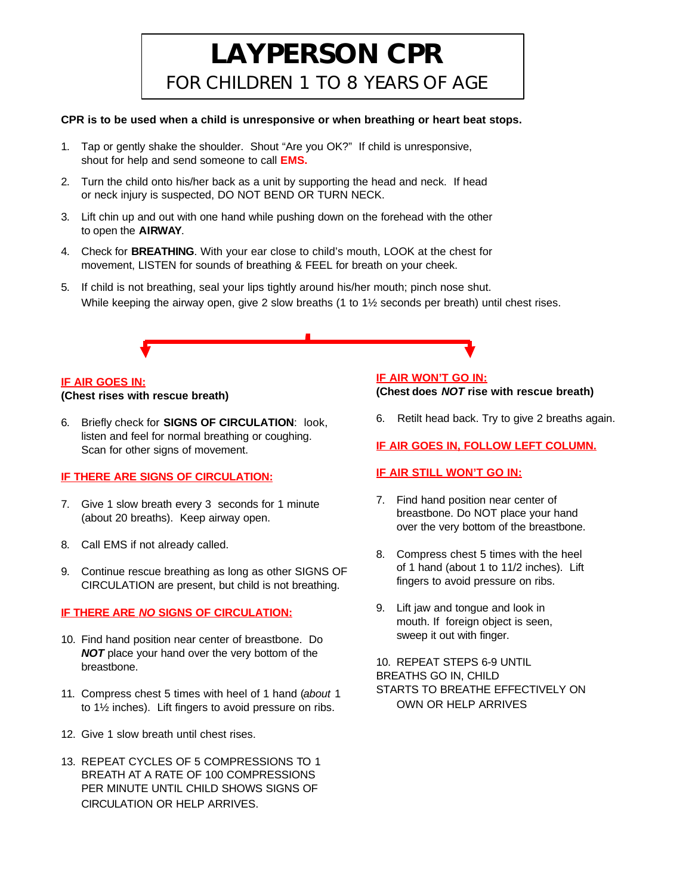### **LAYPERSON CPR** FOR CHILDREN 1 TO 8 YEARS OF AGE

#### **CPR is to be used when a child is unresponsive or when breathing or heart beat stops.**

- 1. Tap or gently shake the shoulder. Shout "Are you OK?" If child is unresponsive, shout for help and send someone to call **EMS.**
- 2. Turn the child onto his/her back as a unit by supporting the head and neck. If head or neck injury is suspected, DO NOT BEND OR TURN NECK.
- 3. Lift chin up and out with one hand while pushing down on the forehead with the other to open the **AIRWAY**.
- 4. Check for **BREATHING**. With your ear close to child's mouth, LOOK at the chest for movement, LISTEN for sounds of breathing & FEEL for breath on your cheek.
- 5. If child is not breathing, seal your lips tightly around his/her mouth; pinch nose shut. While keeping the airway open, give 2 slow breaths (1 to  $1\frac{1}{2}$  seconds per breath) until chest rises.

#### **IF AIR GOES IN:**

#### **(Chest rises with rescue breath)**

6. Briefly check for **SIGNS OF CIRCULATION**: look, listen and feel for normal breathing or coughing. Scan for other signs of movement.

#### **IF THERE ARE SIGNS OF CIRCULATION:**

- 7. Give 1 slow breath every 3 seconds for 1 minute (about 20 breaths). Keep airway open.
- 8. Call EMS if not already called.
- 9. Continue rescue breathing as long as other SIGNS OF CIRCULATION are present, but child is not breathing.

#### **IF THERE ARE** *NO* **SIGNS OF CIRCULATION:**

- 10. Find hand position near center of breastbone. Do **NOT** place your hand over the very bottom of the breastbone.
- 11. Compress chest 5 times with heel of 1 hand (*about* 1 to 1½ inches). Lift fingers to avoid pressure on ribs.
- 12. Give 1 slow breath until chest rises.
- 13. REPEAT CYCLES OF 5 COMPRESSIONS TO 1 BREATH AT A RATE OF 100 COMPRESSIONS PER MINUTE UNTIL CHILD SHOWS SIGNS OF CIRCULATION OR HELP ARRIVES.

#### **IF AIR WON'T GO IN: (Chest does** *NOT* **rise with rescue breath)**

6. Retilt head back. Try to give 2 breaths again.

**IF AIR GOES IN, FOLLOW LEFT COLUMN.**

#### **IF AIR STILL WON'T GO IN:**

- 7. Find hand position near center of breastbone. Do NOT place your hand over the very bottom of the breastbone.
- 8. Compress chest 5 times with the heel of 1 hand (about 1 to 11/2 inches). Lift fingers to avoid pressure on ribs.
- 9. Lift jaw and tongue and look in mouth. If foreign object is seen, sweep it out with finger.

10. REPEAT STEPS 6-9 UNTIL BREATHS GO IN, CHILD STARTS TO BREATHE EFFECTIVELY ON OWN OR HELP ARRIVES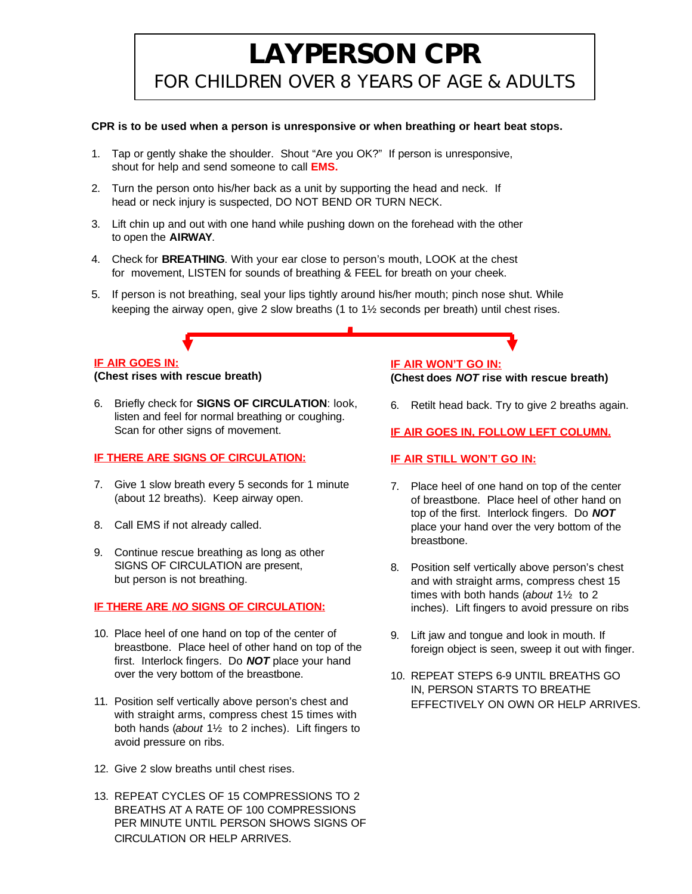### **LAYPERSON CPR**

FOR CHILDREN OVER 8 YEARS OF AGE & ADULTS

#### **CPR is to be used when a person is unresponsive or when breathing or heart beat stops.**

- 1. Tap or gently shake the shoulder. Shout "Are you OK?" If person is unresponsive, shout for help and send someone to call **EMS.**
- 2. Turn the person onto his/her back as a unit by supporting the head and neck. If head or neck injury is suspected, DO NOT BEND OR TURN NECK.
- 3. Lift chin up and out with one hand while pushing down on the forehead with the other to open the **AIRWAY**.
- 4. Check for **BREATHING**. With your ear close to person's mouth, LOOK at the chest for movement, LISTEN for sounds of breathing & FEEL for breath on your cheek.
- 5. If person is not breathing, seal your lips tightly around his/her mouth; pinch nose shut. While keeping the airway open, give 2 slow breaths (1 to 1½ seconds per breath) until chest rises.

#### **IF AIR GOES IN:**

**(Chest rises with rescue breath)**

6. Briefly check for **SIGNS OF CIRCULATION**: look, listen and feel for normal breathing or coughing. Scan for other signs of movement.

#### **IF THERE ARE SIGNS OF CIRCULATION:**

- 7. Give 1 slow breath every 5 seconds for 1 minute (about 12 breaths). Keep airway open.
- 8. Call EMS if not already called.
- 9. Continue rescue breathing as long as other SIGNS OF CIRCULATION are present, but person is not breathing.

#### **IF THERE ARE** *NO* **SIGNS OF CIRCULATION:**

- 10. Place heel of one hand on top of the center of breastbone. Place heel of other hand on top of the first. Interlock fingers. Do *NOT* place your hand over the very bottom of the breastbone.
- 11. Position self vertically above person's chest and with straight arms, compress chest 15 times with both hands (*about* 1½ to 2 inches). Lift fingers to avoid pressure on ribs.
- 12. Give 2 slow breaths until chest rises.
- 13. REPEAT CYCLES OF 15 COMPRESSIONS TO 2 BREATHS AT A RATE OF 100 COMPRESSIONS PER MINUTE UNTIL PERSON SHOWS SIGNS OF CIRCULATION OR HELP ARRIVES.

#### **IF AIR WON'T GO IN: (Chest does** *NOT* **rise with rescue breath)**

6. Retilt head back. Try to give 2 breaths again.

**IF AIR GOES IN, FOLLOW LEFT COLUMN.**

#### **IF AIR STILL WON'T GO IN:**

- 7. Place heel of one hand on top of the center of breastbone. Place heel of other hand on top of the first. Interlock fingers. Do *NOT* place your hand over the very bottom of the breastbone.
- 8. Position self vertically above person's chest and with straight arms, compress chest 15 times with both hands (*about* 1½ to 2 inches). Lift fingers to avoid pressure on ribs
- 9. Lift jaw and tongue and look in mouth. If foreign object is seen, sweep it out with finger.
- 10. REPEAT STEPS 6-9 UNTIL BREATHS GO IN, PERSON STARTS TO BREATHE EFFECTIVELY ON OWN OR HELP ARRIVES.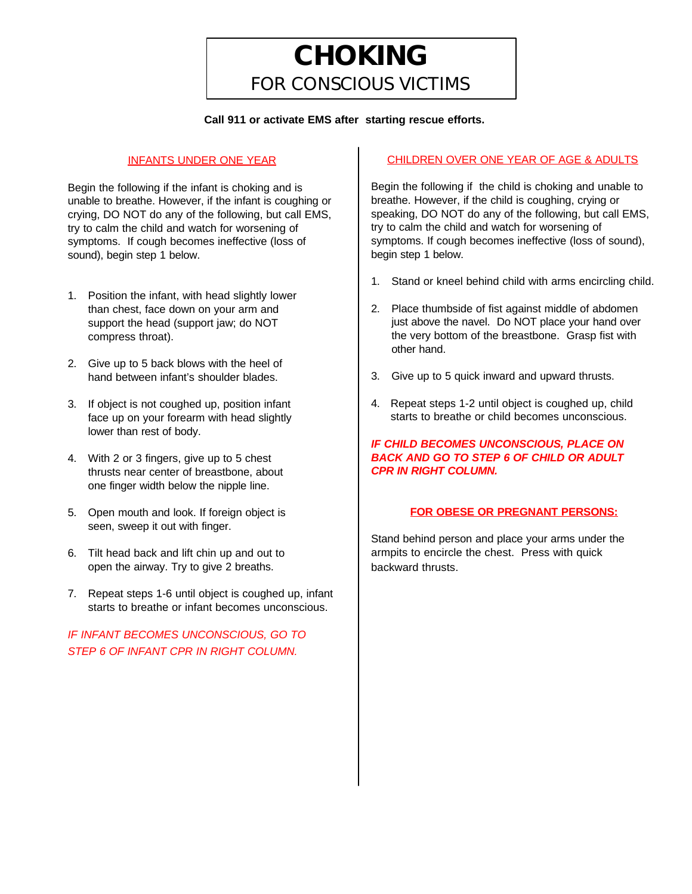### **CHOKING** FOR CONSCIOUS VICTIMS

#### **Call 911 or activate EMS after starting rescue efforts.**

#### INFANTS UNDER ONE YEAR

Begin the following if the infant is choking and is unable to breathe. However, if the infant is coughing or crying, DO NOT do any of the following, but call EMS, try to calm the child and watch for worsening of symptoms. If cough becomes ineffective (loss of sound), begin step 1 below.

- 1. Position the infant, with head slightly lower than chest, face down on your arm and support the head (support jaw; do NOT compress throat).
- 2. Give up to 5 back blows with the heel of hand between infant's shoulder blades.
- 3. If object is not coughed up, position infant face up on your forearm with head slightly lower than rest of body.
- 4. With 2 or 3 fingers, give up to 5 chest thrusts near center of breastbone, about one finger width below the nipple line.
- 5. Open mouth and look. If foreign object is seen, sweep it out with finger.
- 6. Tilt head back and lift chin up and out to open the airway. Try to give 2 breaths.
- 7. Repeat steps 1-6 until object is coughed up, infant starts to breathe or infant becomes unconscious.

*IF INFANT BECOMES UNCONSCIOUS, GO TO STEP 6 OF INFANT CPR IN RIGHT COLUMN.*

#### CHILDREN OVER ONE YEAR OF AGE & ADULTS

Begin the following if the child is choking and unable to breathe. However, if the child is coughing, crying or speaking, DO NOT do any of the following, but call EMS, try to calm the child and watch for worsening of symptoms. If cough becomes ineffective (loss of sound), begin step 1 below.

- 1. Stand or kneel behind child with arms encircling child.
- 2. Place thumbside of fist against middle of abdomen just above the navel. Do NOT place your hand over the very bottom of the breastbone. Grasp fist with other hand.
- 3. Give up to 5 quick inward and upward thrusts.
- 4. Repeat steps 1-2 until object is coughed up, child starts to breathe or child becomes unconscious.

#### *IF CHILD BECOMES UNCONSCIOUS, PLACE ON BACK AND GO TO STEP 6 OF CHILD OR ADULT CPR IN RIGHT COLUMN.*

#### **FOR OBESE OR PREGNANT PERSONS:**

Stand behind person and place your arms under the armpits to encircle the chest. Press with quick backward thrusts.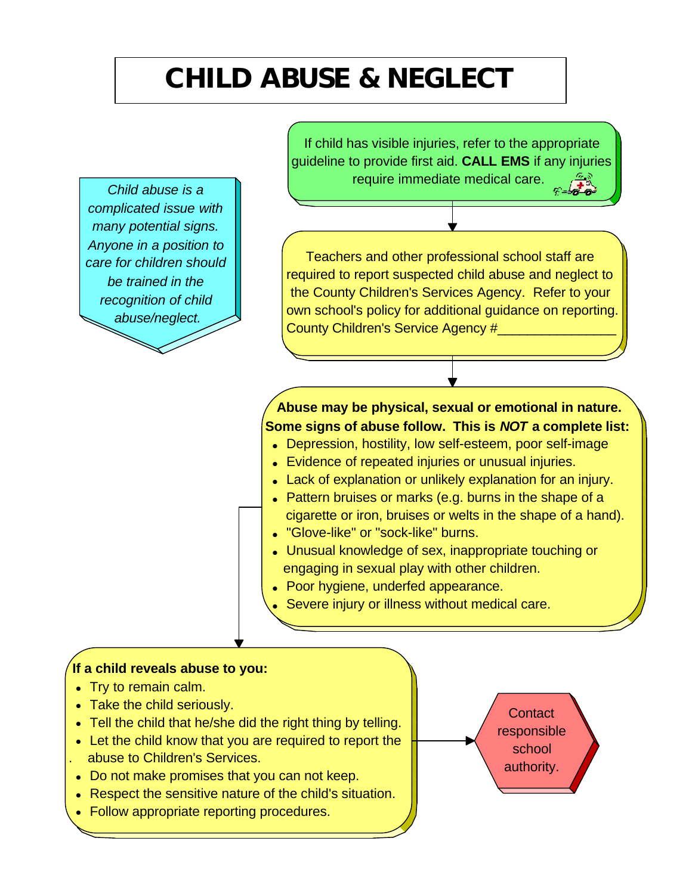## **CHILD ABUSE & NEGLECT**

*Child abuse is a complicated issue with many potential signs. Anyone in a position to care for children should be trained in the recognition of child abuse/neglect.*

If child has visible injuries, refer to the appropriate guideline to provide first aid. **CALL EMS** if any injuries require immediate medical care.

Teachers and other professional school staff are required to report suspected child abuse and neglect to the County Children's Services Agency. Refer to your own school's policy for additional guidance on reporting. County Children's Service Agency #

 **Abuse may be physical, sexual or emotional in nature. Some signs of abuse follow. This is** *NOT* **a complete list:**

- Depression, hostility, low self-esteem, poor self-image
- Evidence of repeated injuries or unusual injuries.
- Lack of explanation or unlikely explanation for an injury.
- Pattern bruises or marks (e.g. burns in the shape of a cigarette or iron, bruises or welts in the shape of a hand).
- ●"Glove-like" or "sock-like" burns.
- ●Unusual knowledge of sex, inappropriate touching or engaging in sexual play with other children.
- ●Poor hygiene, underfed appearance.
- Severe injury or illness without medical care.

### **If a child reveals abuse to you:**

- ●Try to remain calm.
- ●Take the child seriously.
- Tell the child that he/she did the right thing by telling.
- Let the child know that you are required to report the . abuse to Children's Services.
- ●Do not make promises that you can not keep.
- ●Respect the sensitive nature of the child's situation.
- ●Follow appropriate reporting procedures.

**Contact** responsible school authority.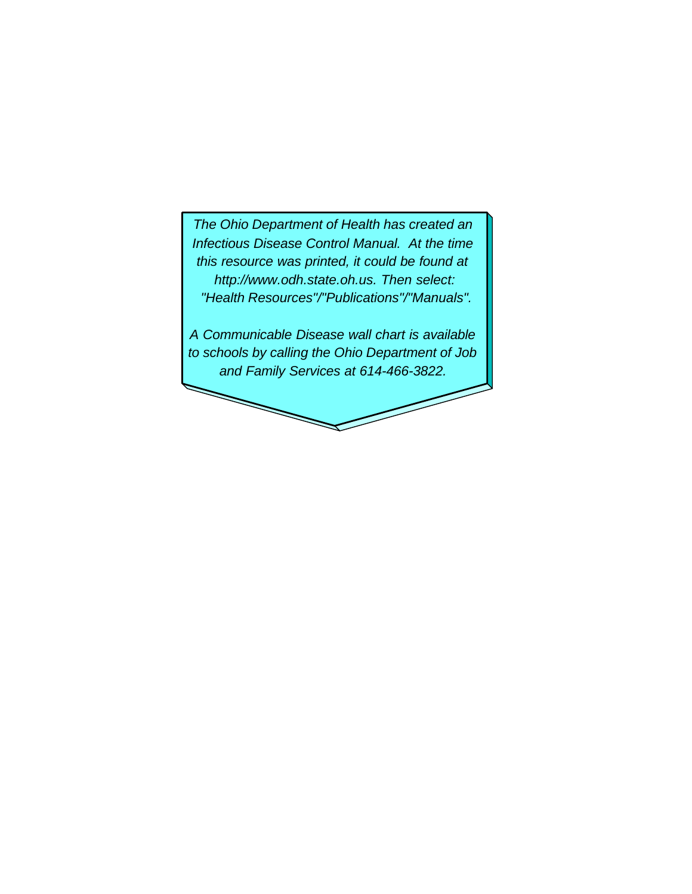*The Ohio Department of Health has created an Infectious Disease Control Manual. At the time this resource was printed, it could be found at http://www.odh.state.oh.us. Then select: "Health Resources"/"Publications"/"Manuals".*

*A Communicable Disease wall chart is available to schools by calling the Ohio Department of Job and Family Services at 614-466-3822.*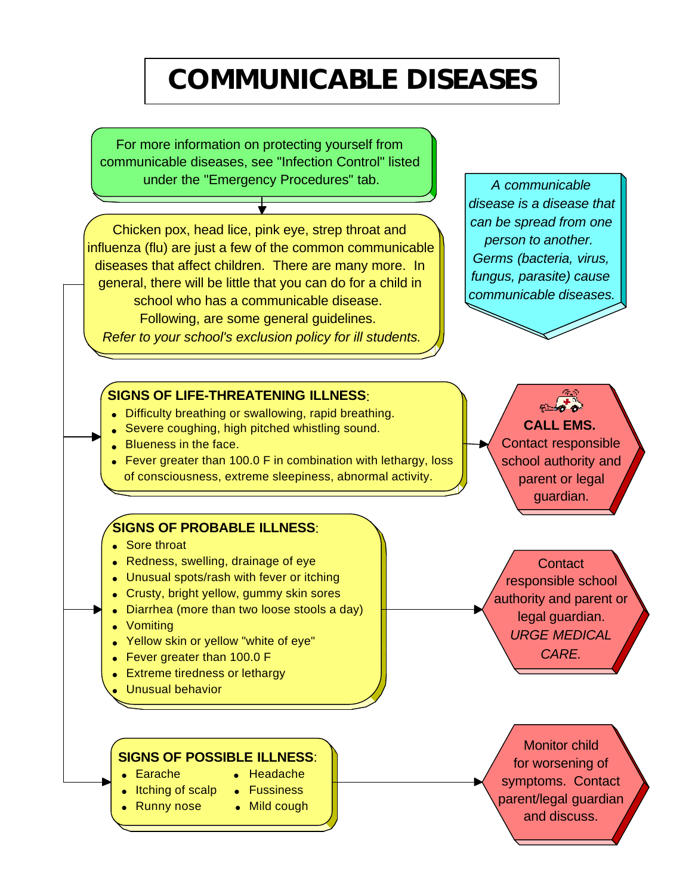# **COMMUNICABLE DISEASES**

For more information on protecting yourself from communicable diseases, see "Infection Control" listed under the "Emergency Procedures" tab.

Chicken pox, head lice, pink eye, strep throat and influenza (flu) are just a few of the common communicable diseases that affect children. There are many more. In general, there will be little that you can do for a child in school who has a communicable disease. Following, are some general guidelines. *Refer to your school's exclusion policy for ill students.*

#### **SIGNS OF LIFE-THREATENING ILLNESS**:

- ●Difficulty breathing or swallowing, rapid breathing.
- **Severe coughing, high pitched whistling sound.**
- ●Blueness in the face.
- Fever greater than 100.0 F in combination with lethargy, loss of consciousness, extreme sleepiness, abnormal activity.

#### **SIGNS OF PROBABLE ILLNESS**:

- ●Sore throat
- ●Redness, swelling, drainage of eye
- ●Unusual spots/rash with fever or itching
- ●Crusty, bright yellow, gummy skin sores
- ●Diarrhea (more than two loose stools a day)
- ●Vomiting
- ●Yellow skin or yellow "white of eye"
- ●Fever greater than 100.0 F
- ●Extreme tiredness or lethargy
- ●Unusual behavior

 **SIGNS OF POSSIBLE ILLNESS**:

- ●Earache ●Headache
- Itching of scalp Fussiness
- 
- ●Runny nose ●Mild cough

*A communicable disease is a disease that can be spread from one person to another. Germs (bacteria, virus, fungus, parasite) cause communicable diseases.*

> **CALL EMS.** Contact responsible school authority and parent or legal guardian.

**Contact** responsible school authority and parent or legal guardian. *URGE MEDICAL CARE.* 

Monitor child for worsening of symptoms. Contact parent/legal guardian and discuss.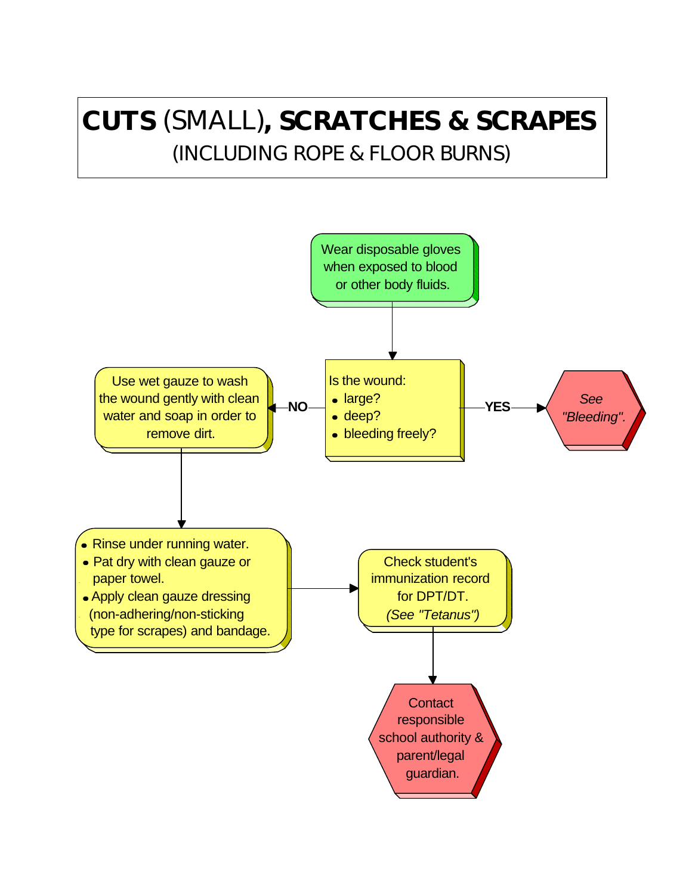### **CUTS** (SMALL)**, SCRATCHES & SCRAPES**  (INCLUDING ROPE & FLOOR BURNS)

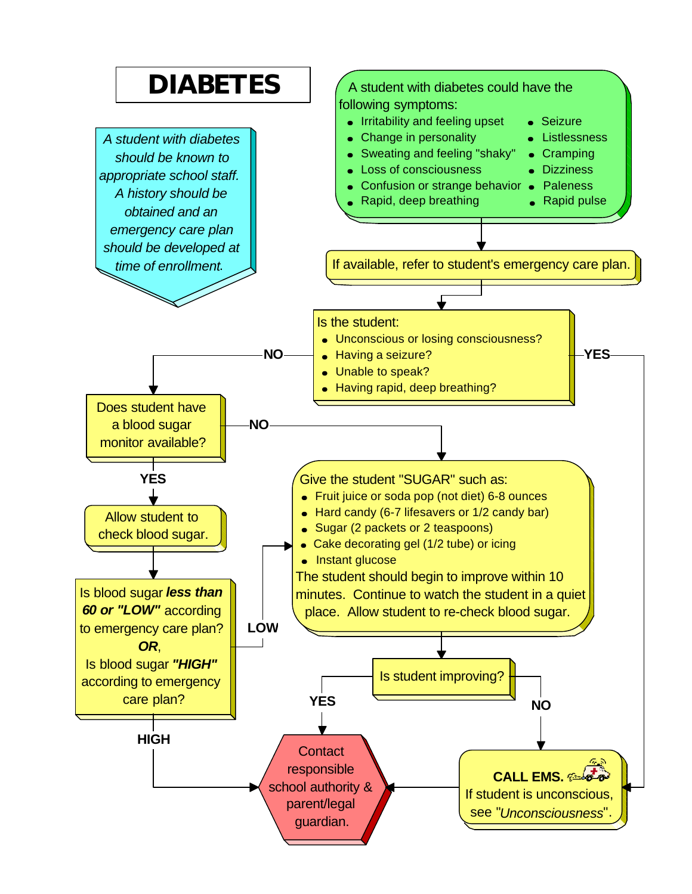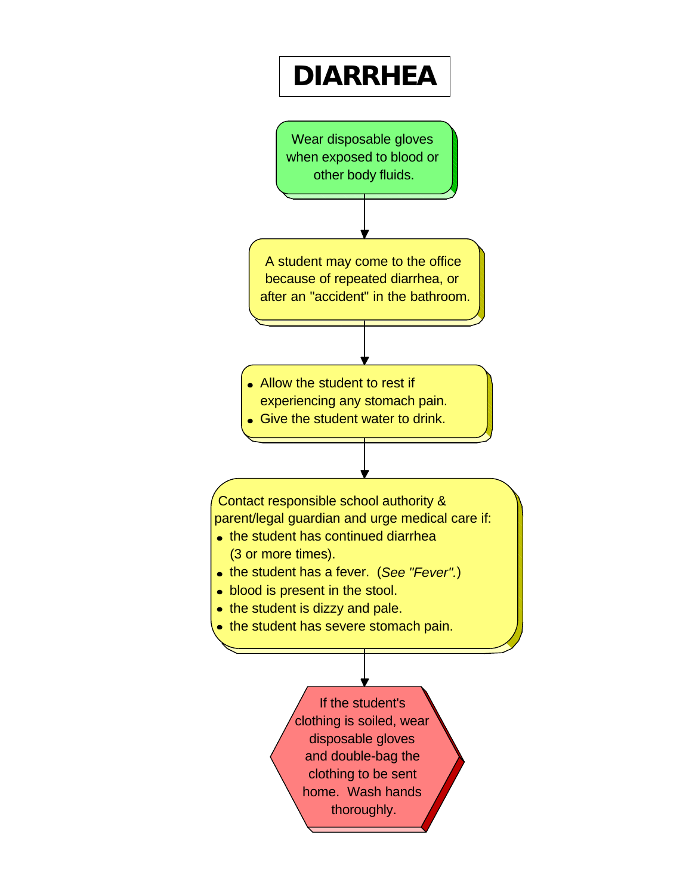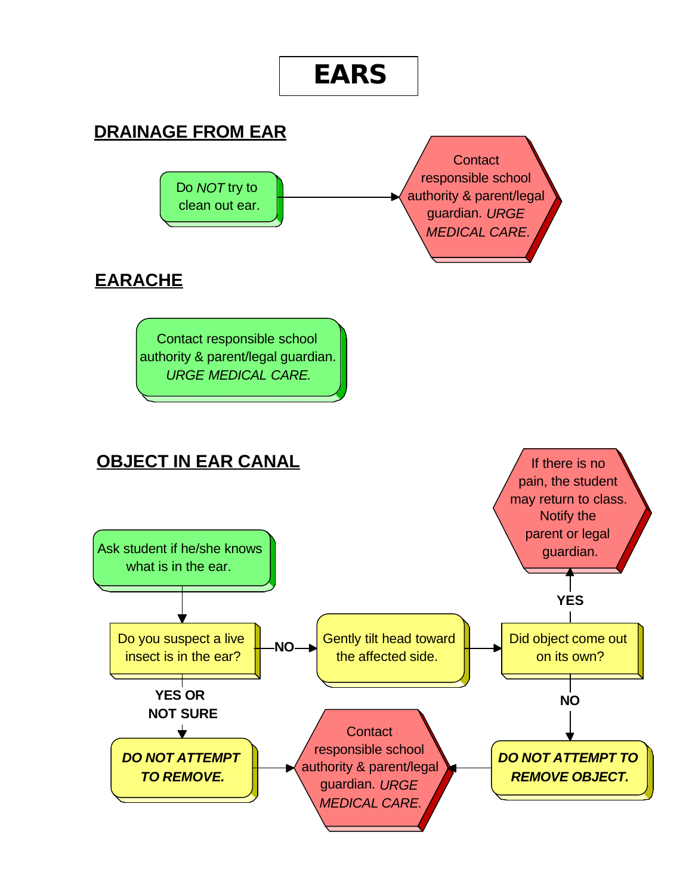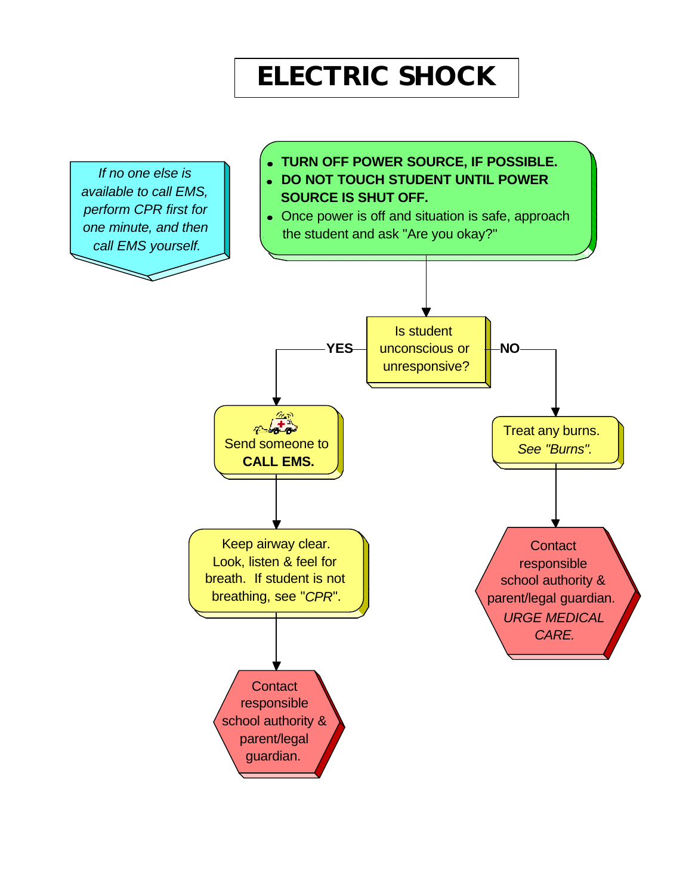### **ELECTRIC SHOCK**

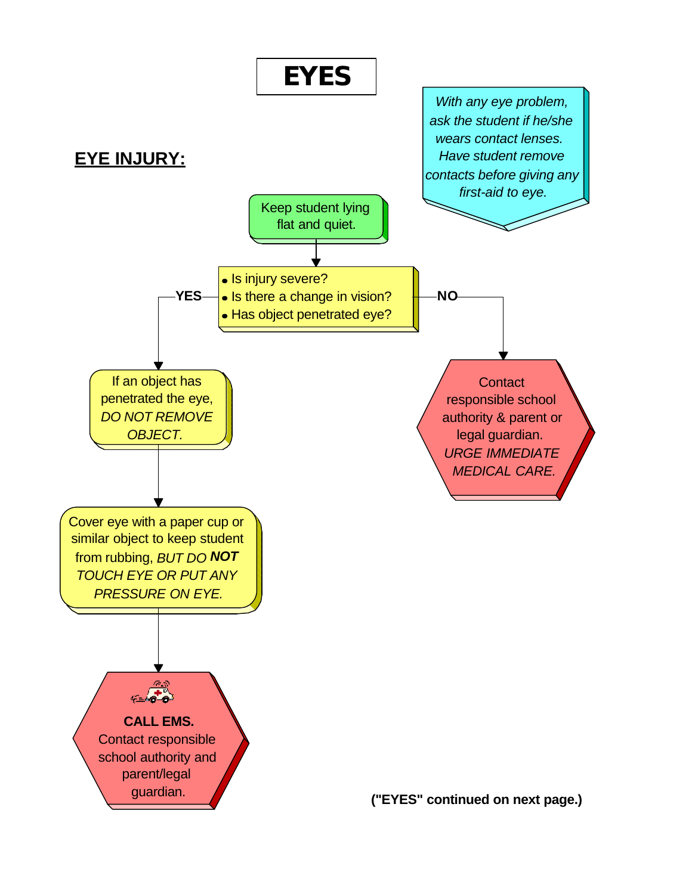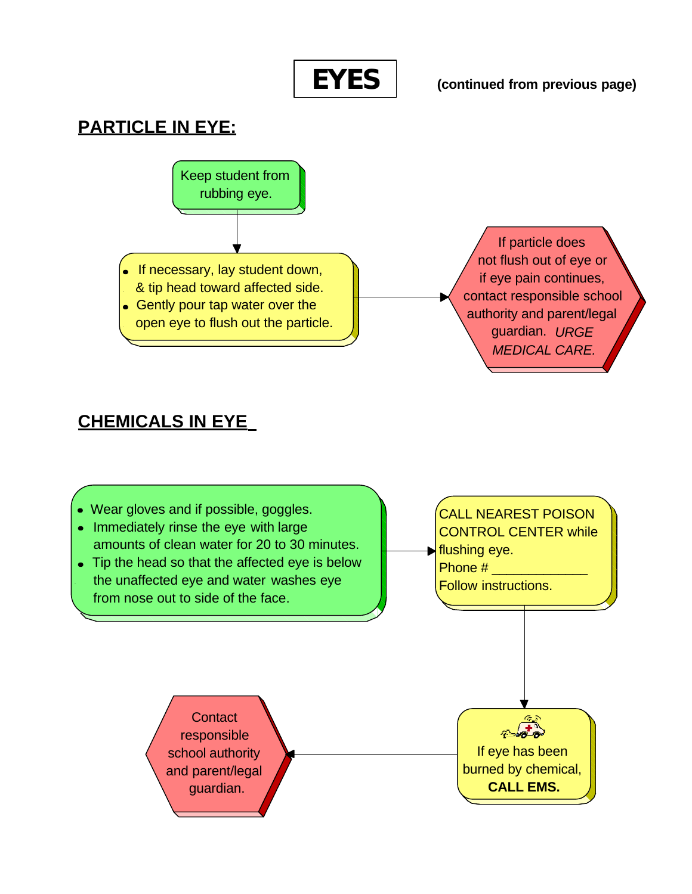

**(continued from previous page)**

### **PARTICLE IN EYE:**



### **CHEMICALS IN EYE**

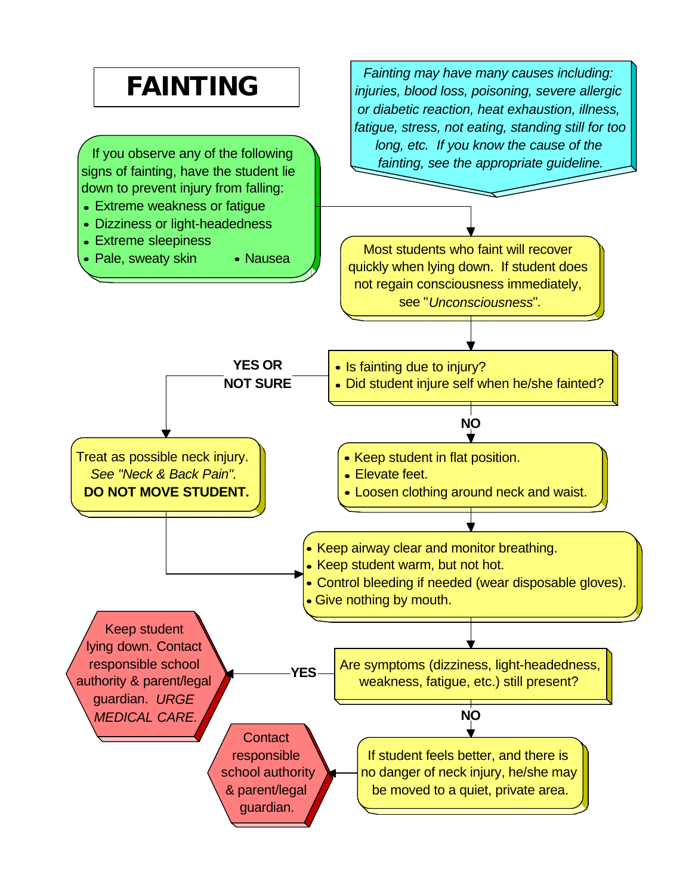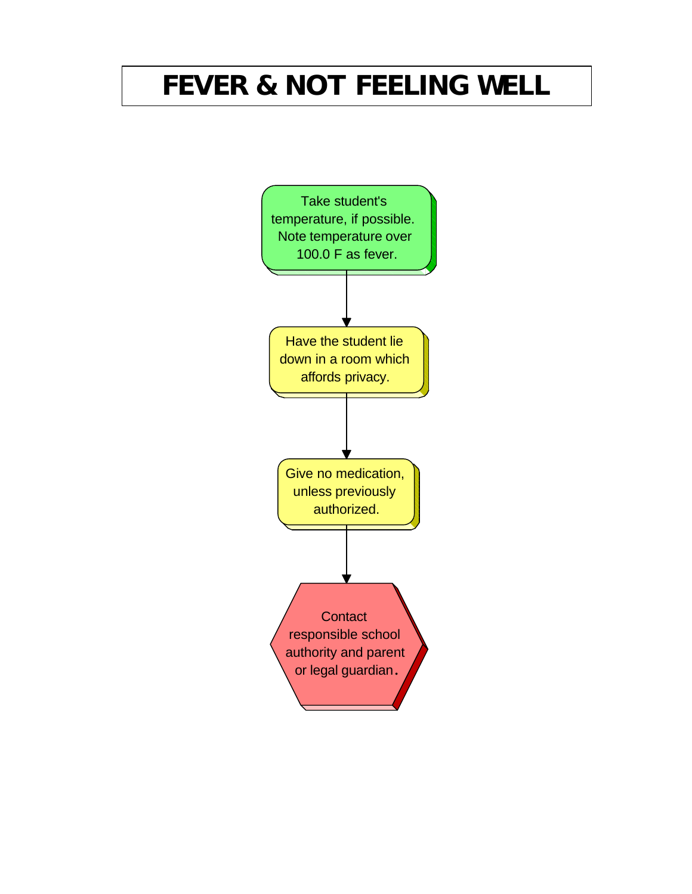# **FEVER & NOT FEELING WELL**

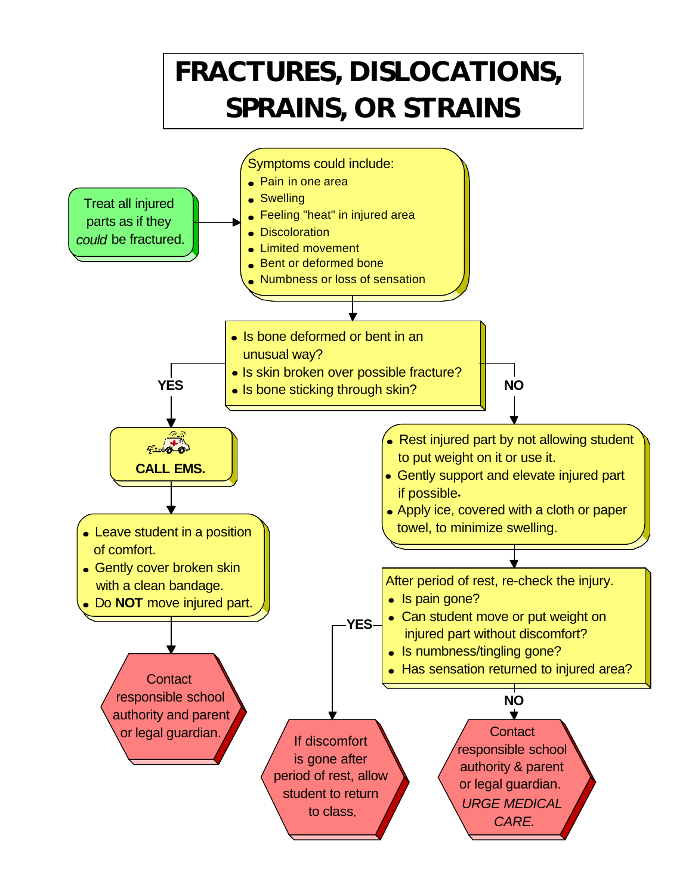# **FRACTURES, DISLOCATIONS, SPRAINS, OR STRAINS**

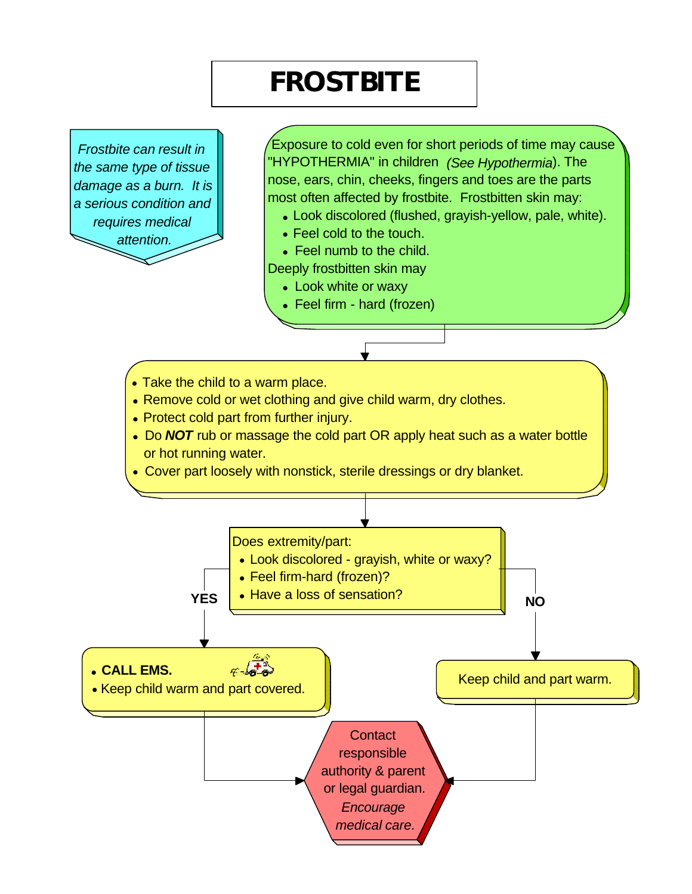### **FROSTBITE**

*Frostbite can result in the same type of tissue damage as a burn. It is a serious condition and requires medical attention.*

 Exposure to cold even for short periods of time may cause "HYPOTHERMIA" in children *(See Hypothermia*). The nose, ears, chin, cheeks, fingers and toes are the parts most often affected by frostbite. Frostbitten skin may:

- Look discolored (flushed, grayish-yellow, pale, white).
- Feel cold to the touch.
- Feel numb to the child.

Deeply frostbitten skin may

- ●Look white or waxy
- ●Feel firm hard (frozen)
- ●Take the child to a warm place.
- Remove cold or wet clothing and give child warm, dry clothes.
- Protect cold part from further injury.
- Do **NOT** rub or massage the cold part OR apply heat such as a water bottle or hot running water.
- ●Cover part loosely with nonstick, sterile dressings or dry blanket.

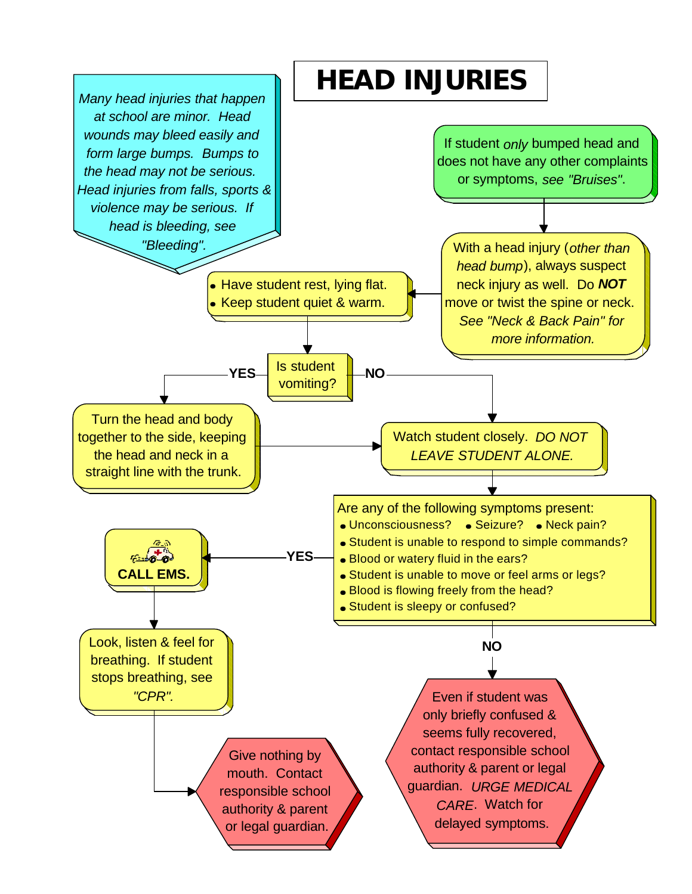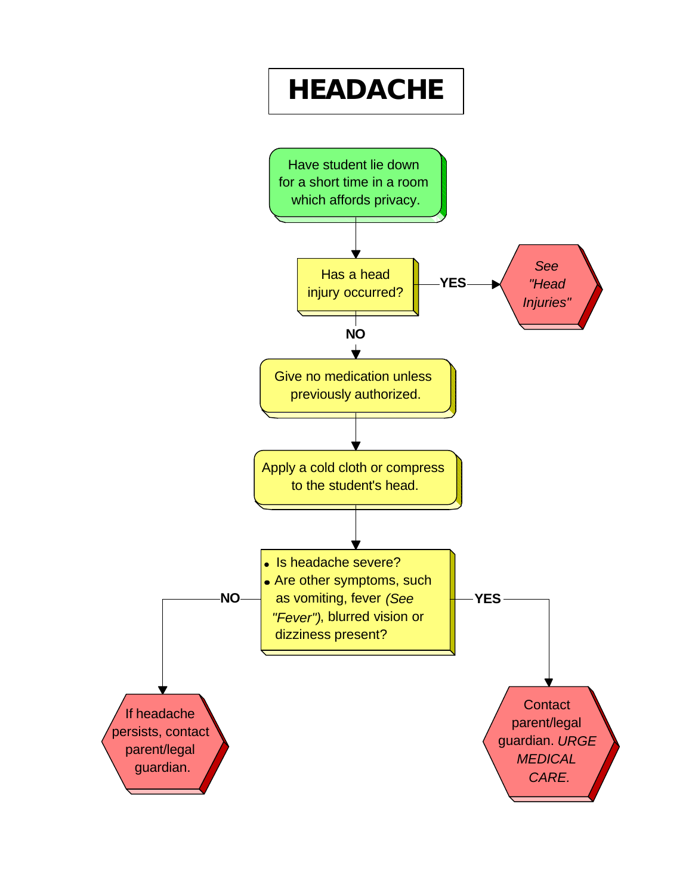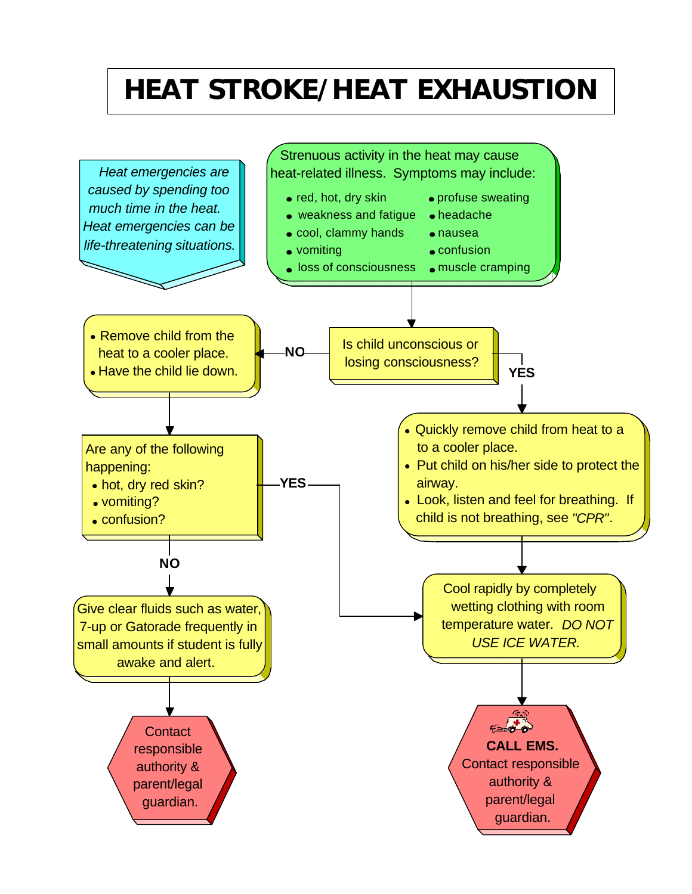### **HEAT STROKE/HEAT EXHAUSTION**

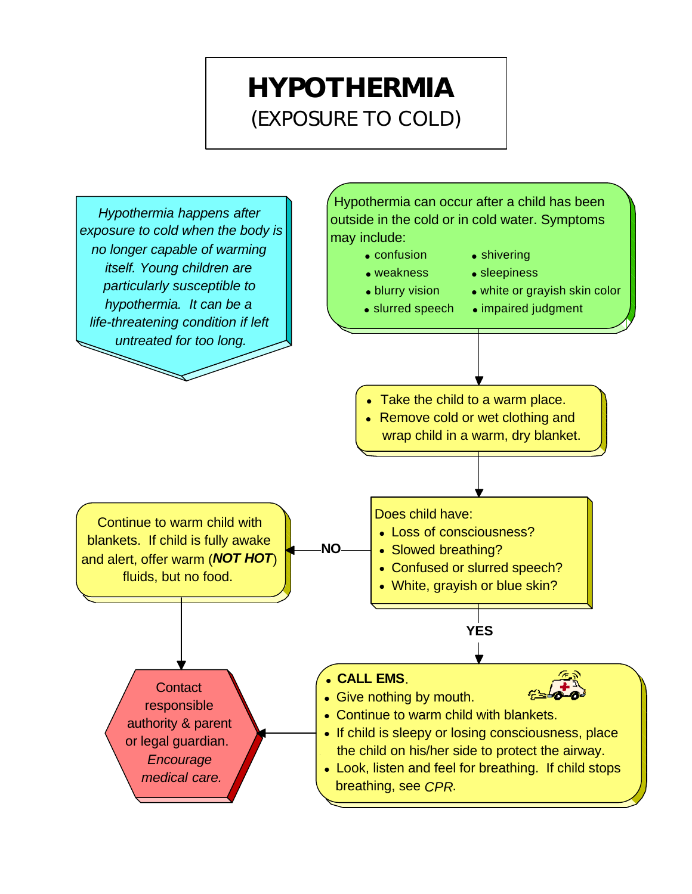### **HYPOTHERMIA**  (EXPOSURE TO COLD)

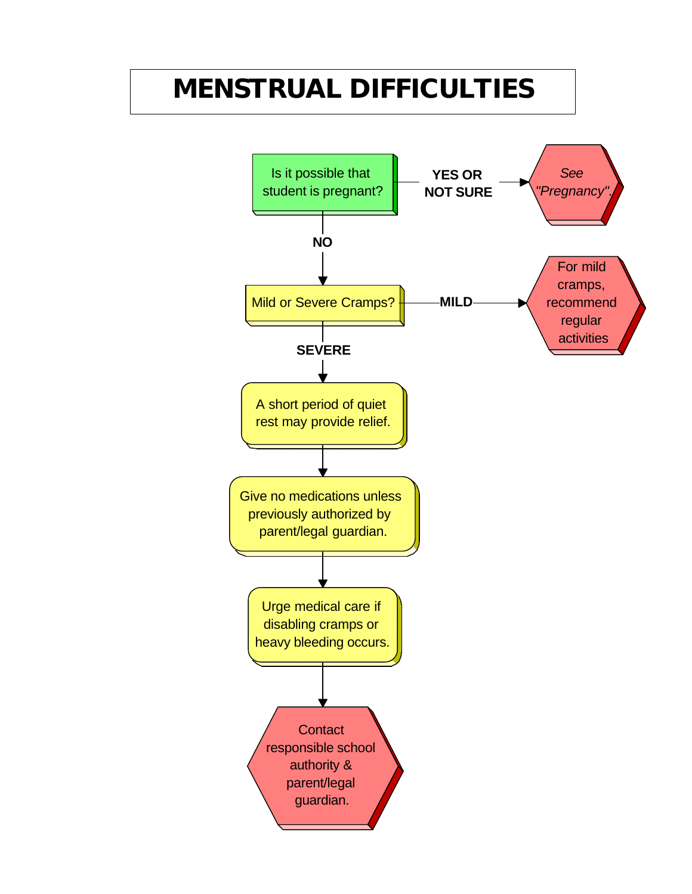### **MENSTRUAL DIFFICULTIES**

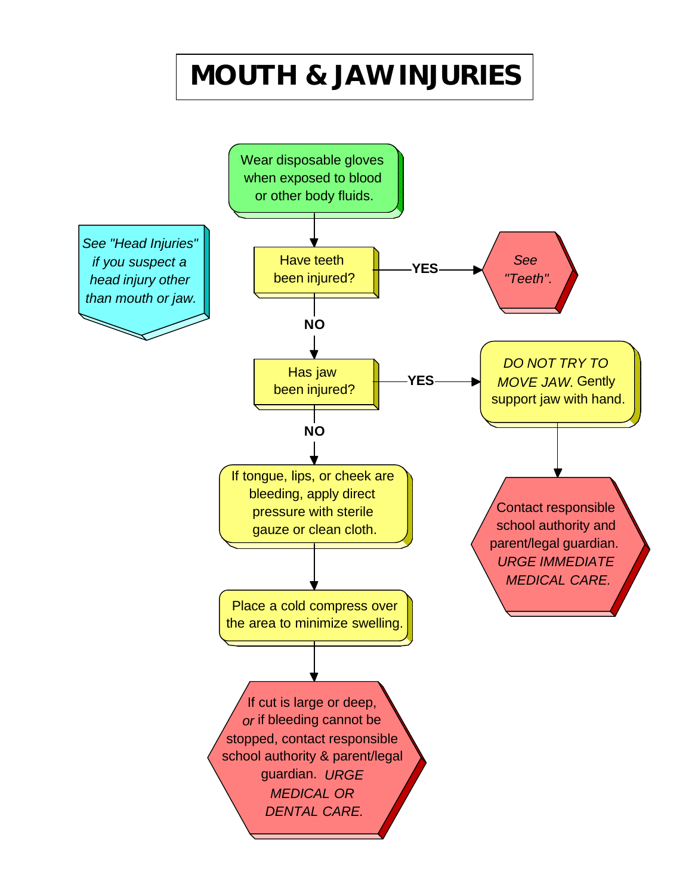## **MOUTH & JAW INJURIES**

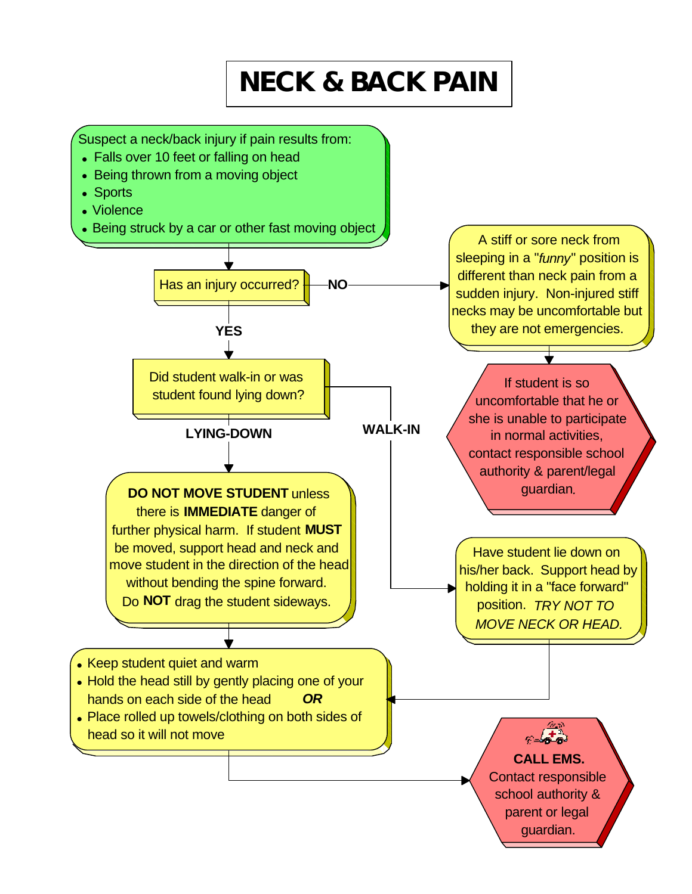# **NECK & BACK PAIN**

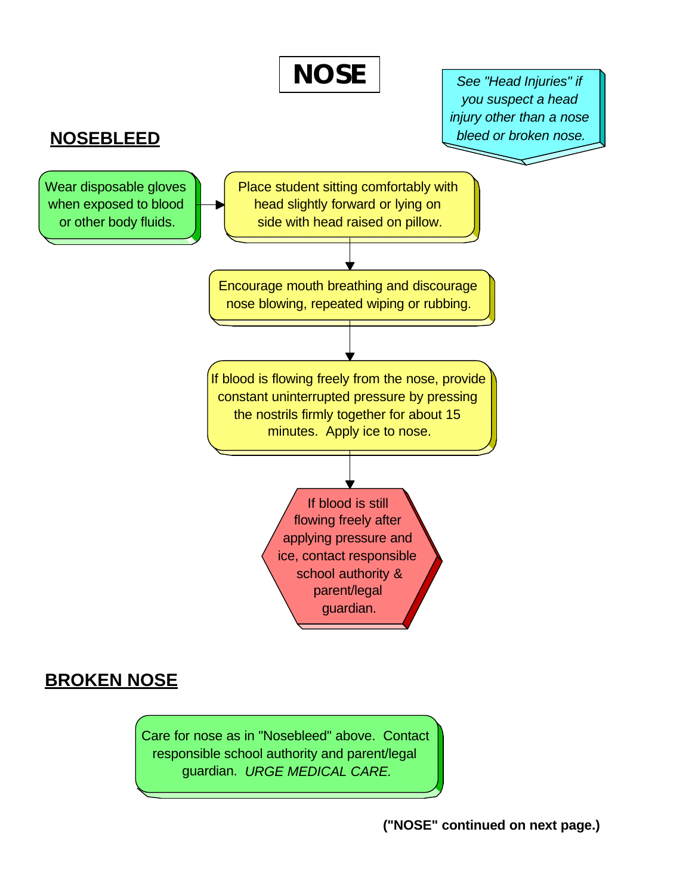

Care for nose as in "Nosebleed" above. Contact responsible school authority and parent/legal guardian. *URGE MEDICAL CARE.*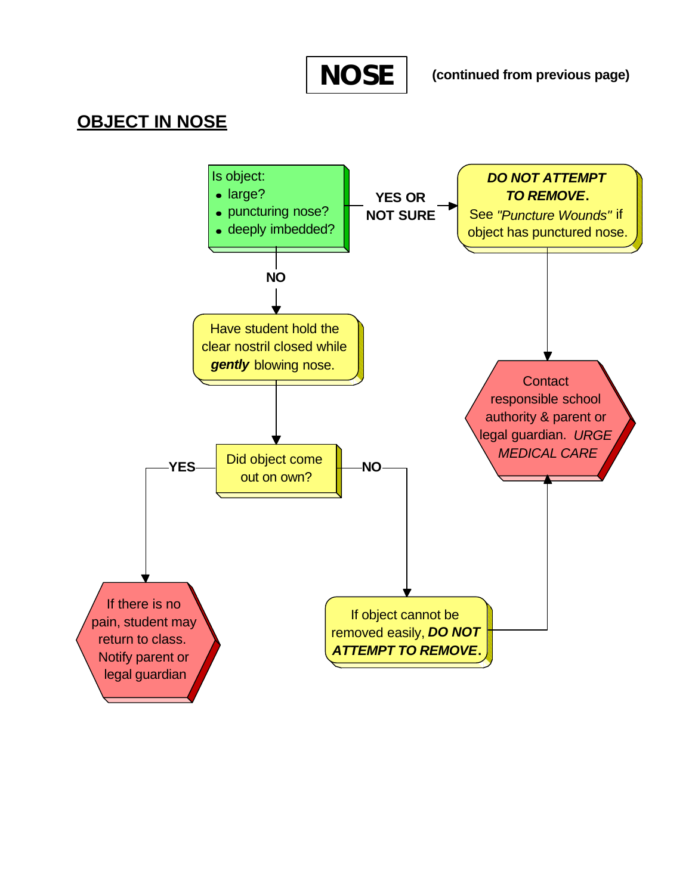**NOSE**

**(continued from previous page)**

### **OBJECT IN NOSE**

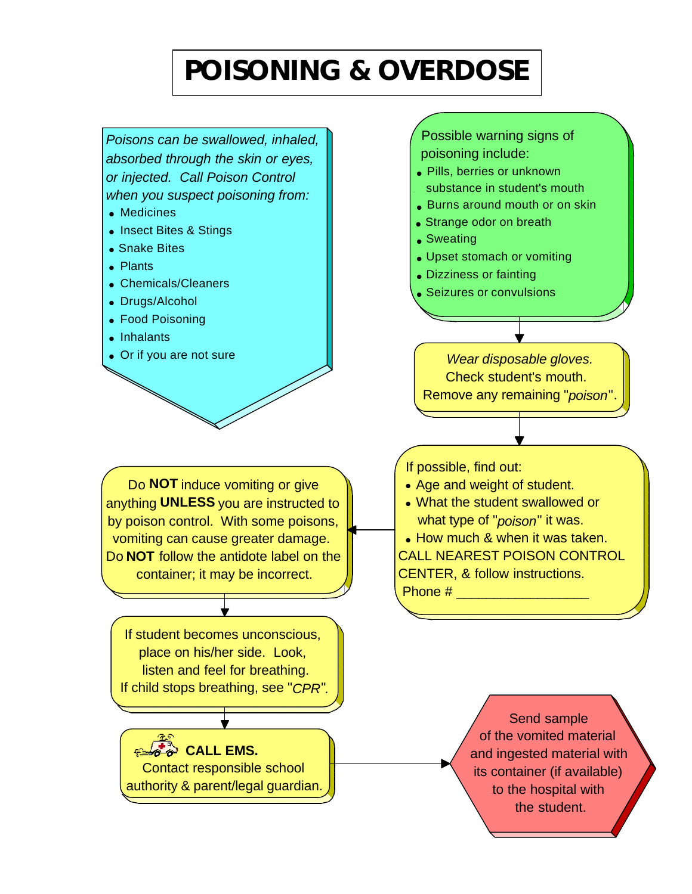# **POISONING & OVERDOSE**

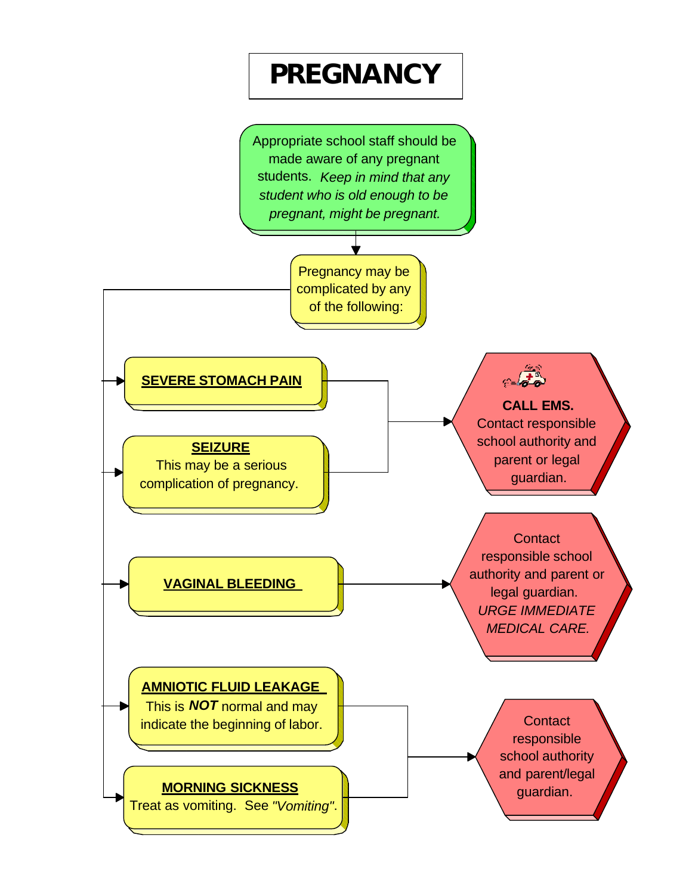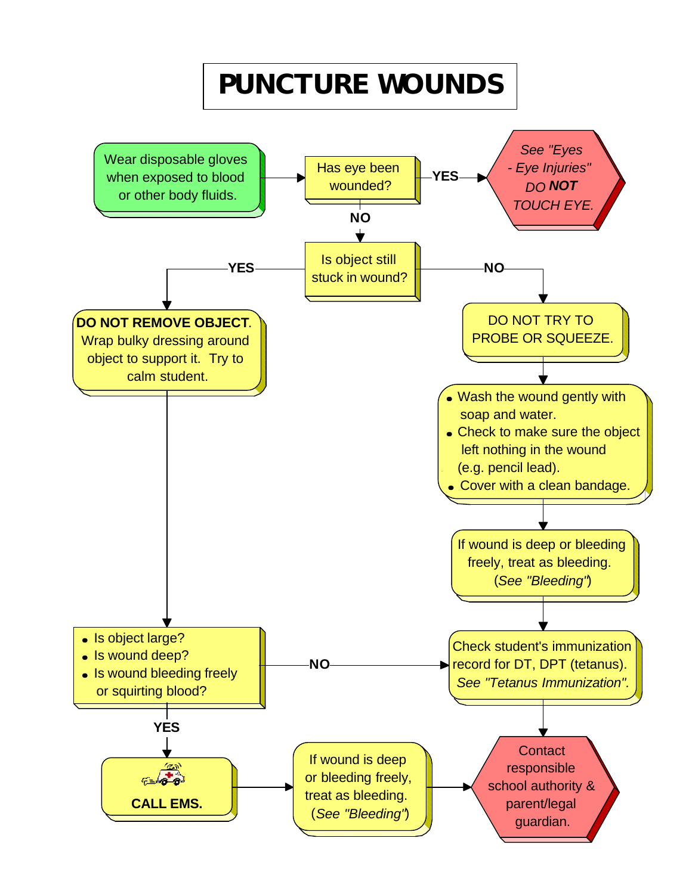# **PUNCTURE WOUNDS**

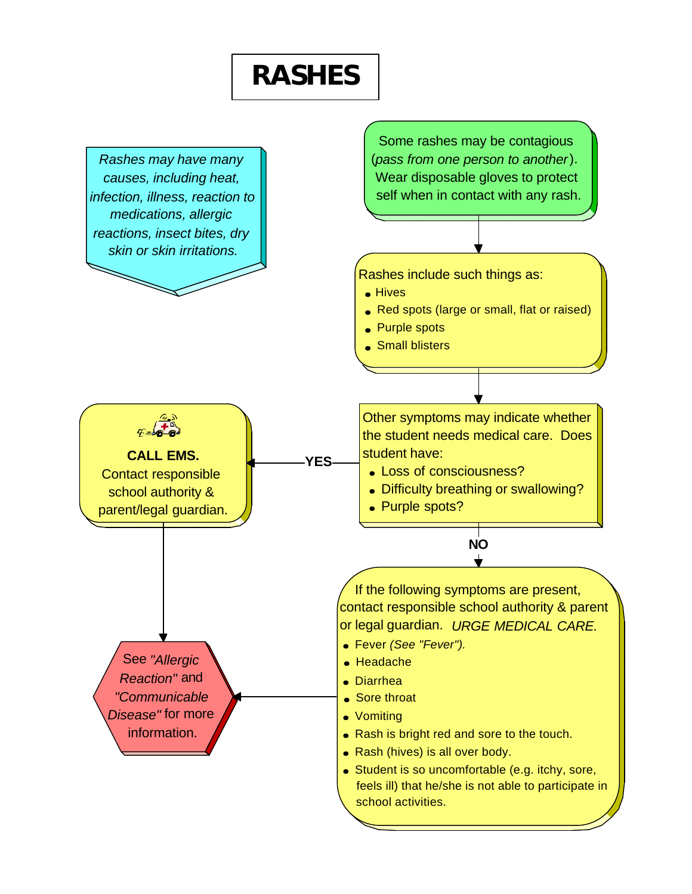### **RASHES**

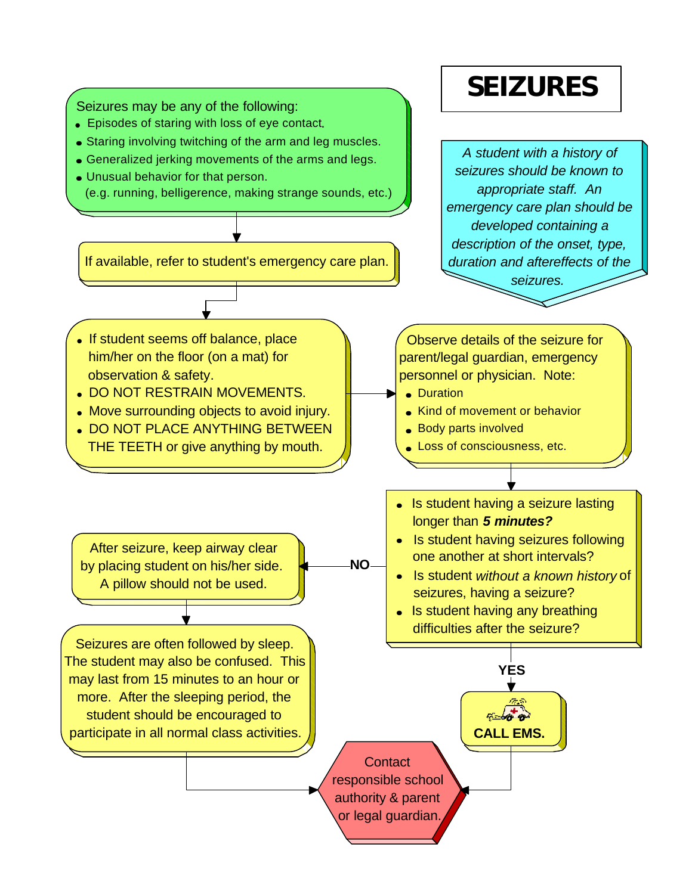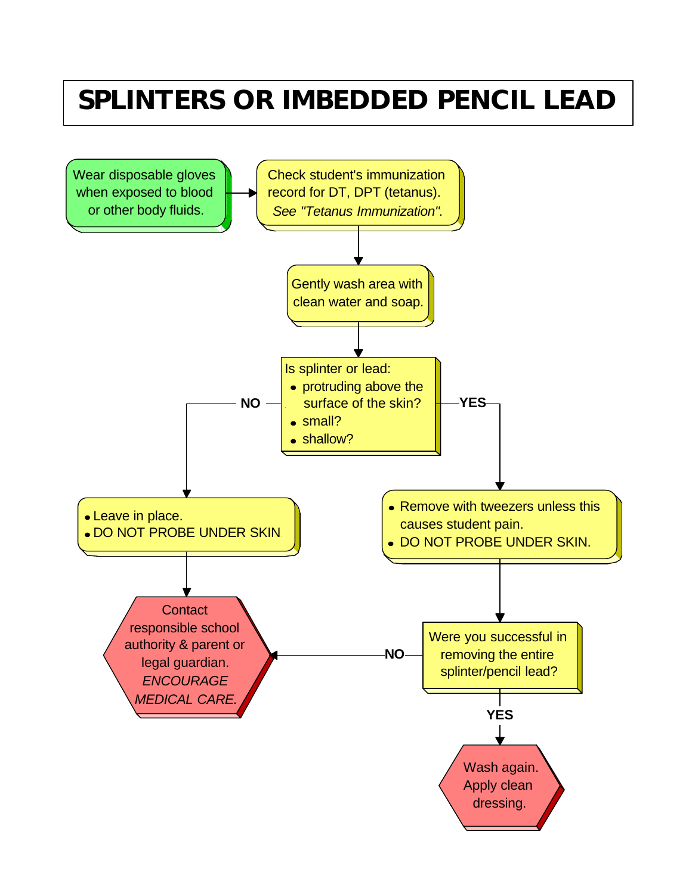### **SPLINTERS OR IMBEDDED PENCIL LEAD**

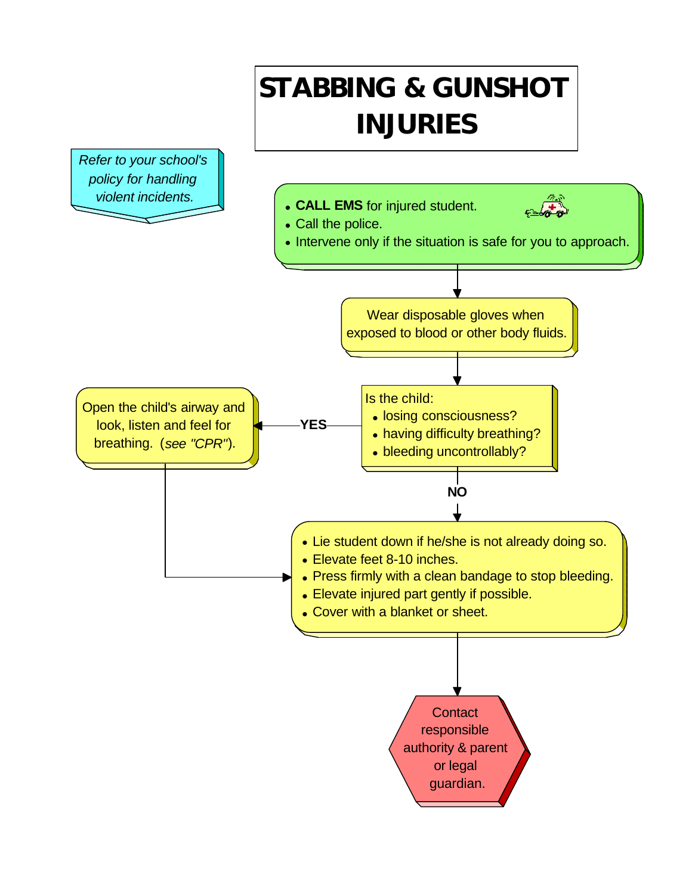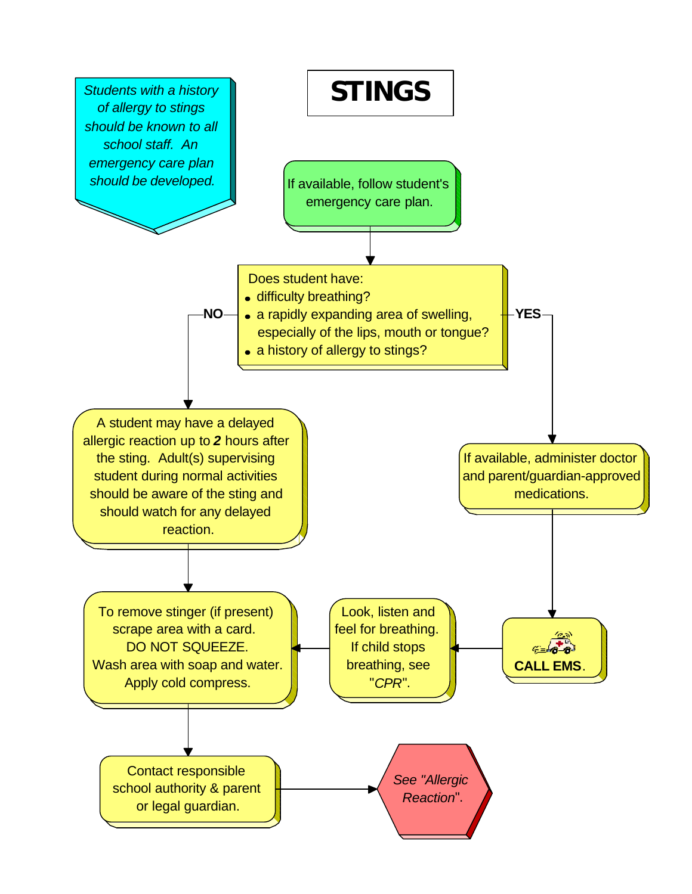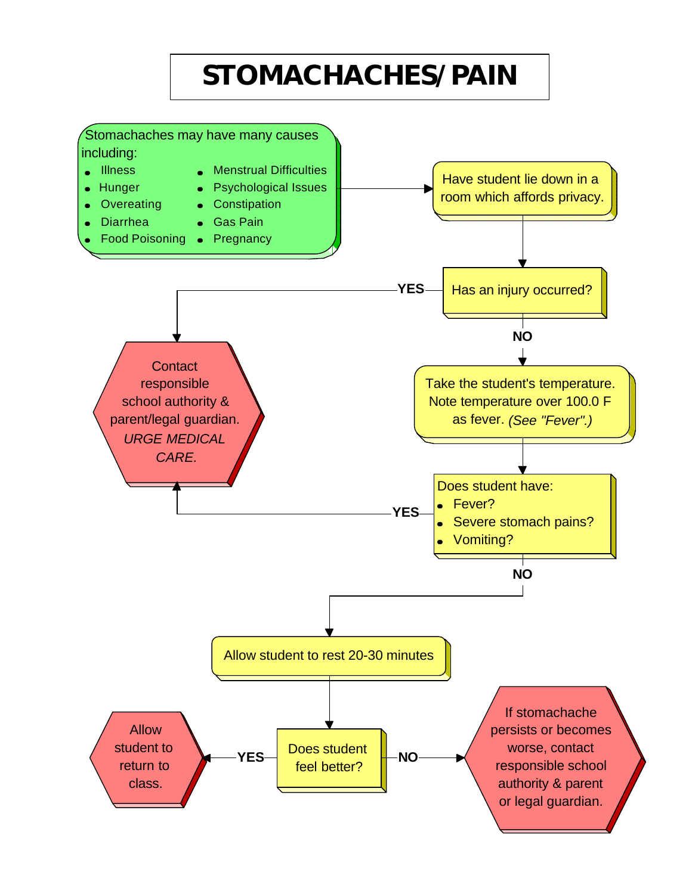# **STOMACHACHES/PAIN**

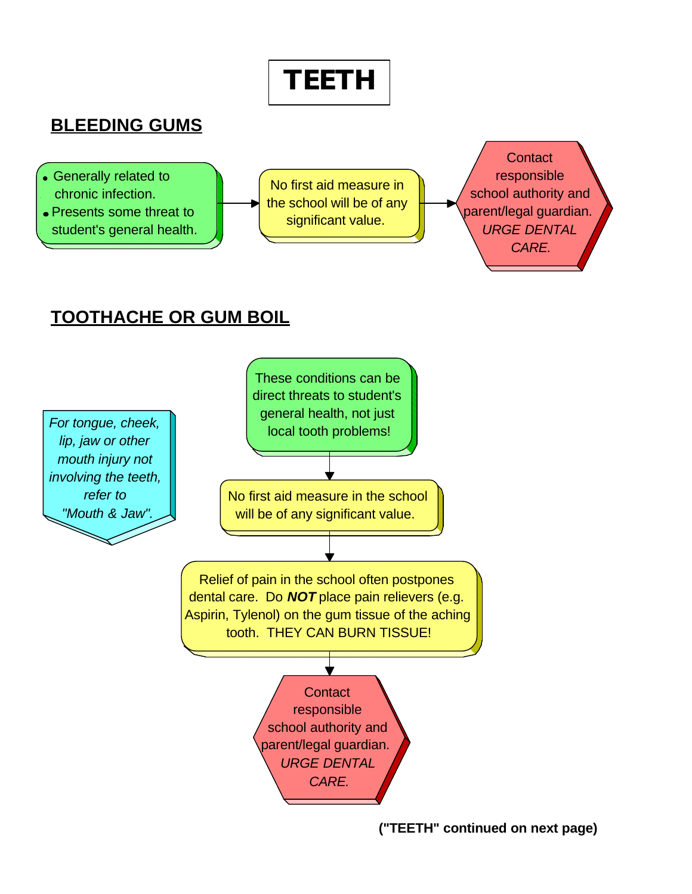

**<sup>(&</sup>quot;TEETH" continued on next page)**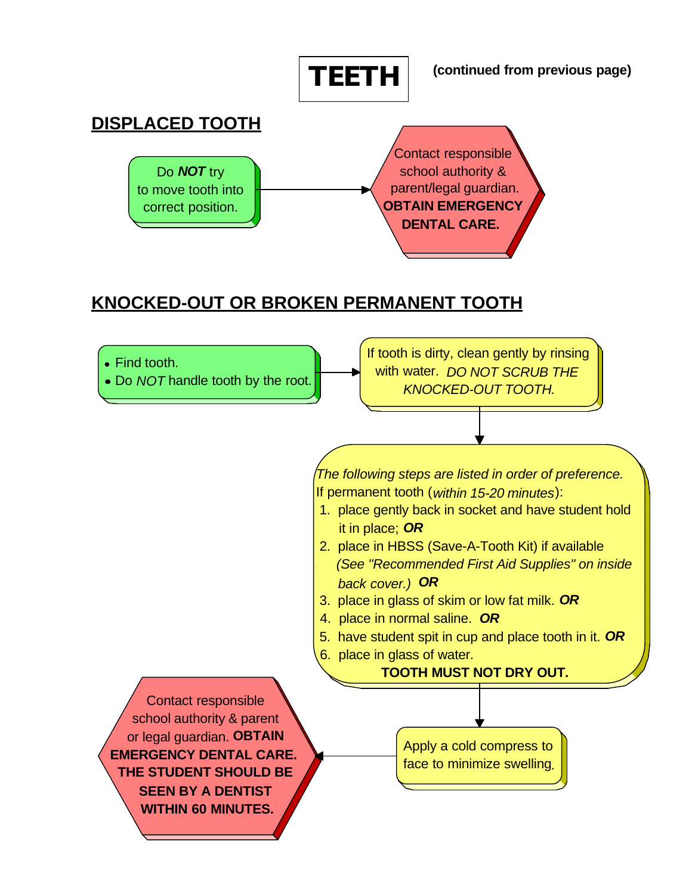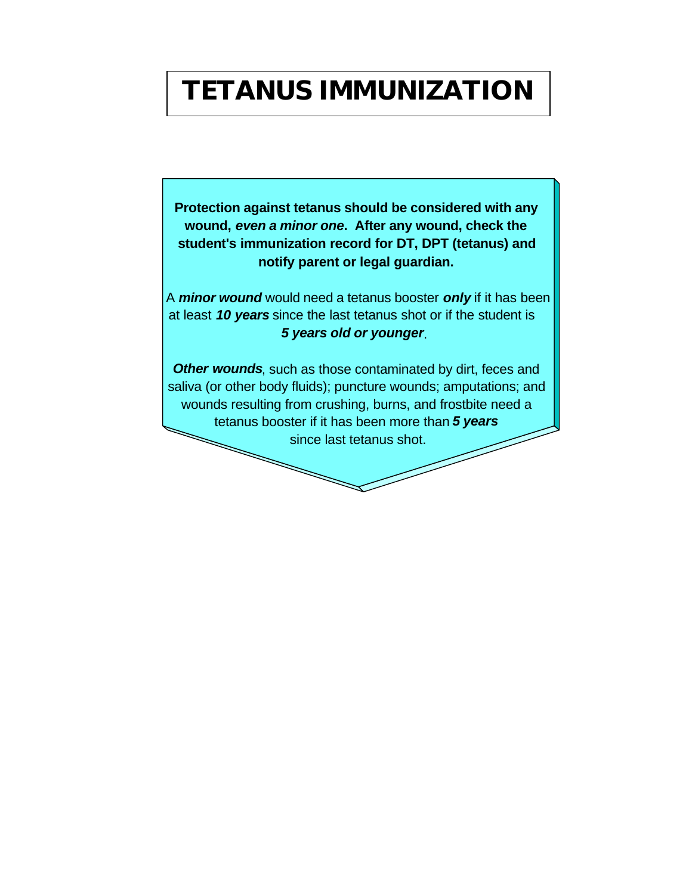### **TETANUS IMMUNIZATION**

**Protection against tetanus should be considered with any wound,** *even a minor one***. After any wound, check the student's immunization record for DT, DPT (tetanus) and notify parent or legal guardian.** 

A *minor wound* would need a tetanus booster *only* if it has been at least *10 years* since the last tetanus shot or if the student is *5 years old or younger*.

**Other wounds**, such as those contaminated by dirt, feces and saliva (or other body fluids); puncture wounds; amputations; and wounds resulting from crushing, burns, and frostbite need a tetanus booster if it has been more than *5 years* since last tetanus shot.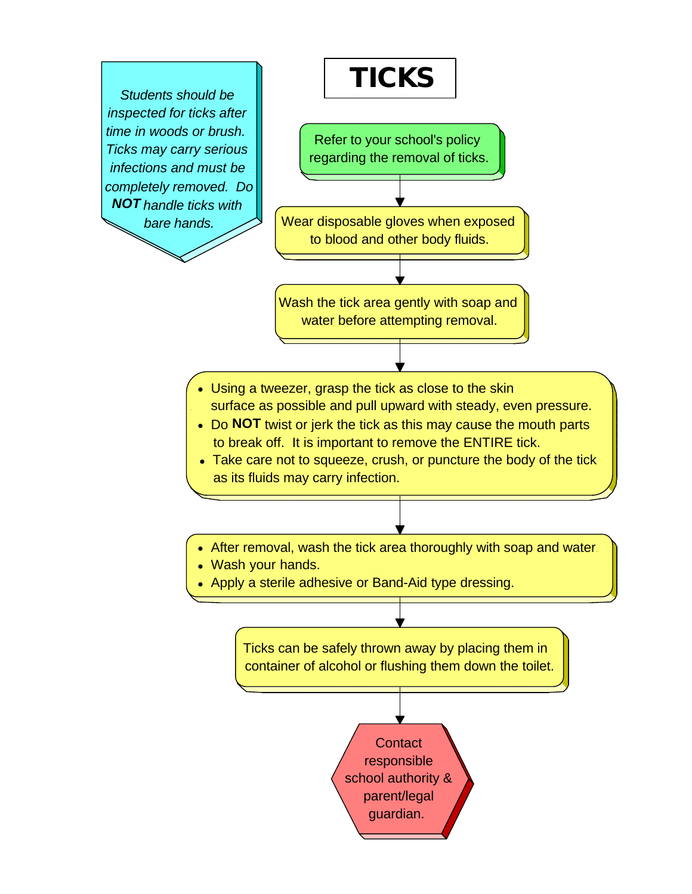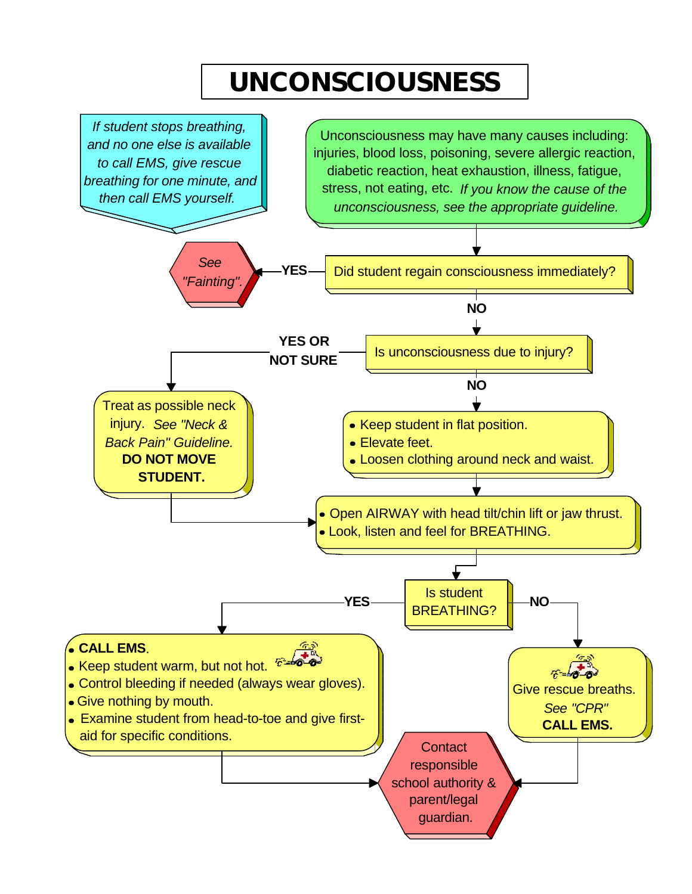# **UNCONSCIOUSNESS**

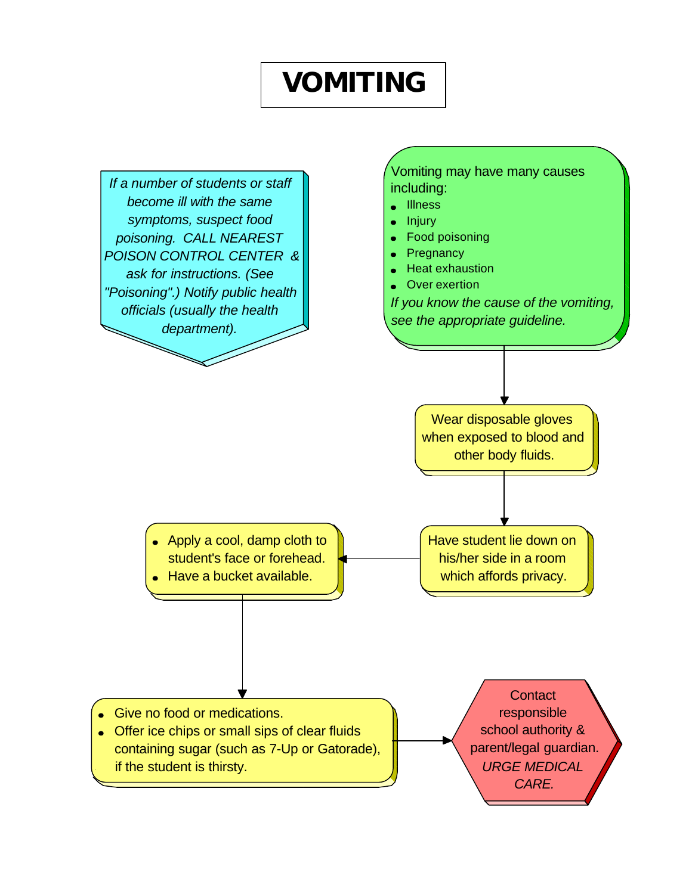### **VOMITING**

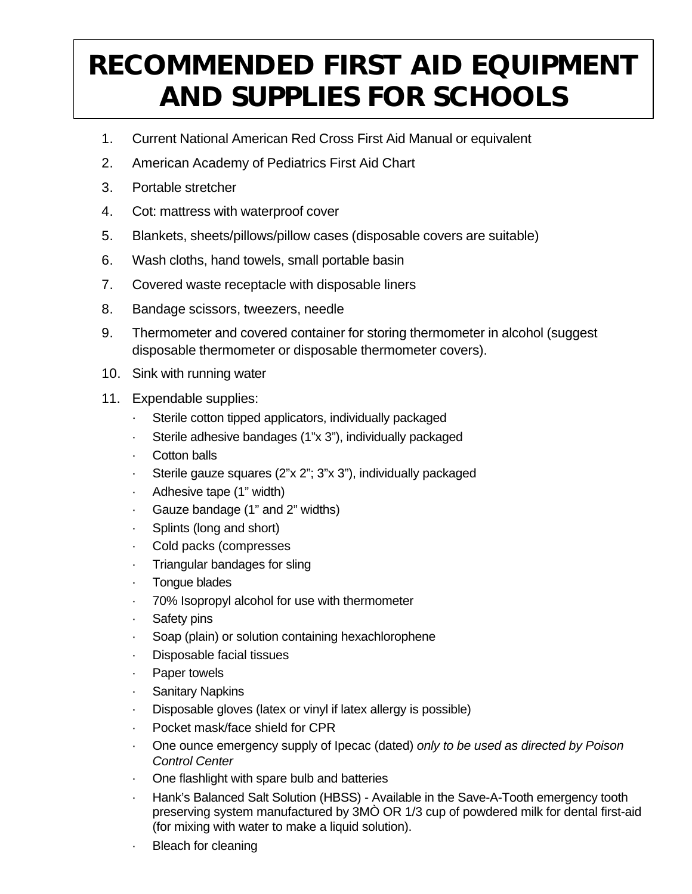# **RECOMMENDED FIRST AID EQUIPMENT AND SUPPLIES FOR SCHOOLS**

- 1. Current National American Red Cross First Aid Manual or equivalent
- 2. American Academy of Pediatrics First Aid Chart
- 3. Portable stretcher
- 4. Cot: mattress with waterproof cover
- 5. Blankets, sheets/pillows/pillow cases (disposable covers are suitable)
- 6. Wash cloths, hand towels, small portable basin
- 7. Covered waste receptacle with disposable liners
- 8. Bandage scissors, tweezers, needle
- 9. Thermometer and covered container for storing thermometer in alcohol (suggest disposable thermometer or disposable thermometer covers).
- 10. Sink with running water
- 11. Expendable supplies:
	- Sterile cotton tipped applicators, individually packaged
	- · Sterile adhesive bandages (1"x 3"), individually packaged
	- Cotton balls
	- Sterile gauze squares (2"x 2"; 3"x 3"), individually packaged
	- Adhesive tape (1" width)
	- Gauze bandage (1" and 2" widths)
	- Splints (long and short)
	- Cold packs (compresses
	- Triangular bandages for sling
	- · Tongue blades
	- · 70% Isopropyl alcohol for use with thermometer
	- Safety pins
	- Soap (plain) or solution containing hexachlorophene
	- · Disposable facial tissues
	- Paper towels
	- **Sanitary Napkins**
	- Disposable gloves (latex or vinyl if latex allergy is possible)
	- Pocket mask/face shield for CPR
	- · One ounce emergency supply of Ipecac (dated) *only to be used as directed by Poison Control Center*
	- · One flashlight with spare bulb and batteries
	- Hank's Balanced Salt Solution (HBSS) Available in the Save-A-Tooth emergency tooth preserving system manufactured by 3MÒ OR 1/3 cup of powdered milk for dental first-aid (for mixing with water to make a liquid solution).
	- **Bleach for cleaning**